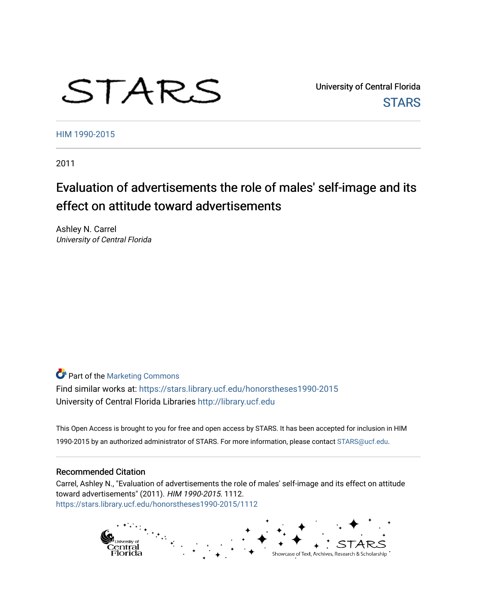# STARS

University of Central Florida **STARS** 

[HIM 1990-2015](https://stars.library.ucf.edu/honorstheses1990-2015) 

2011

# Evaluation of advertisements the role of males' self-image and its effect on attitude toward advertisements

Ashley N. Carrel University of Central Florida

**Part of the [Marketing Commons](http://network.bepress.com/hgg/discipline/638?utm_source=stars.library.ucf.edu%2Fhonorstheses1990-2015%2F1112&utm_medium=PDF&utm_campaign=PDFCoverPages)** Find similar works at: <https://stars.library.ucf.edu/honorstheses1990-2015> University of Central Florida Libraries [http://library.ucf.edu](http://library.ucf.edu/) 

This Open Access is brought to you for free and open access by STARS. It has been accepted for inclusion in HIM 1990-2015 by an authorized administrator of STARS. For more information, please contact [STARS@ucf.edu](mailto:STARS@ucf.edu).

#### Recommended Citation

Carrel, Ashley N., "Evaluation of advertisements the role of males' self-image and its effect on attitude toward advertisements" (2011). HIM 1990-2015. 1112. [https://stars.library.ucf.edu/honorstheses1990-2015/1112](https://stars.library.ucf.edu/honorstheses1990-2015/1112?utm_source=stars.library.ucf.edu%2Fhonorstheses1990-2015%2F1112&utm_medium=PDF&utm_campaign=PDFCoverPages) 

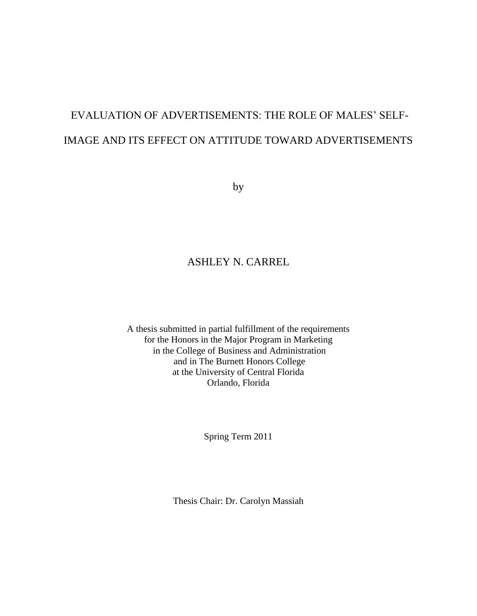# EVALUATION OF ADVERTISEMENTS: THE ROLE OF MALES' SELF-IMAGE AND ITS EFFECT ON ATTITUDE TOWARD ADVERTISEMENTS

by

## ASHLEY N. CARREL

A thesis submitted in partial fulfillment of the requirements for the Honors in the Major Program in Marketing in the College of Business and Administration and in The Burnett Honors College at the University of Central Florida Orlando, Florida

Spring Term 2011

Thesis Chair: Dr. Carolyn Massiah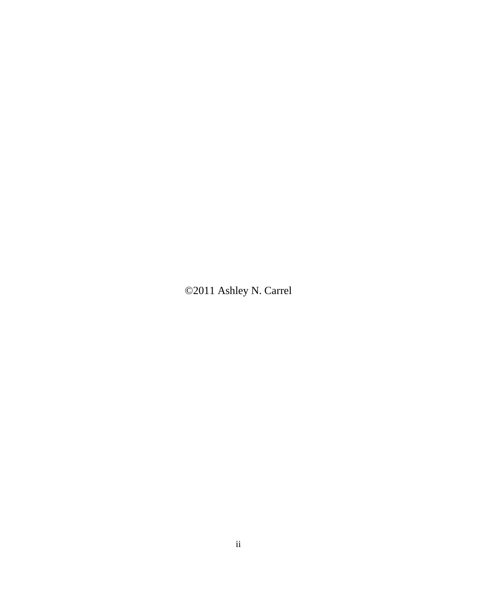©2011 Ashley N. Carrel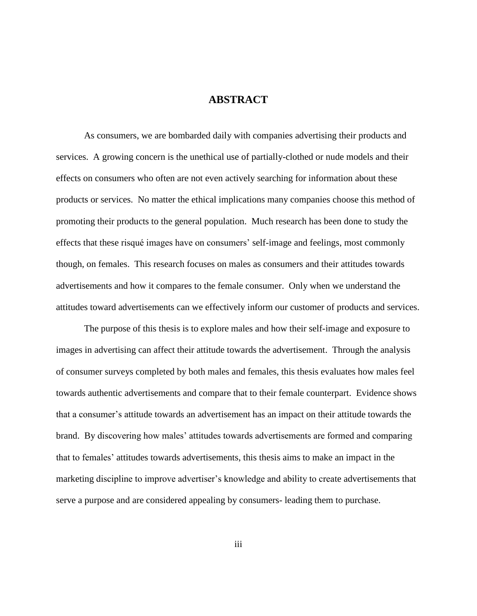## **ABSTRACT**

As consumers, we are bombarded daily with companies advertising their products and services. A growing concern is the unethical use of partially-clothed or nude models and their effects on consumers who often are not even actively searching for information about these products or services. No matter the ethical implications many companies choose this method of promoting their products to the general population. Much research has been done to study the effects that these risqué images have on consumers' self-image and feelings, most commonly though, on females. This research focuses on males as consumers and their attitudes towards advertisements and how it compares to the female consumer. Only when we understand the attitudes toward advertisements can we effectively inform our customer of products and services.

The purpose of this thesis is to explore males and how their self-image and exposure to images in advertising can affect their attitude towards the advertisement. Through the analysis of consumer surveys completed by both males and females, this thesis evaluates how males feel towards authentic advertisements and compare that to their female counterpart. Evidence shows that a consumer's attitude towards an advertisement has an impact on their attitude towards the brand. By discovering how males' attitudes towards advertisements are formed and comparing that to females' attitudes towards advertisements, this thesis aims to make an impact in the marketing discipline to improve advertiser's knowledge and ability to create advertisements that serve a purpose and are considered appealing by consumers- leading them to purchase.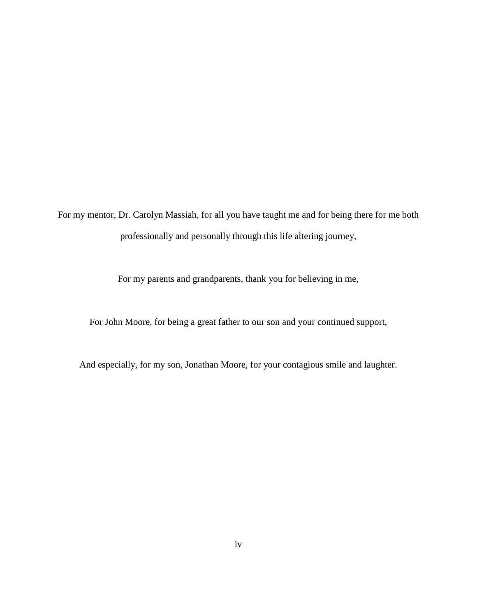For my mentor, Dr. Carolyn Massiah, for all you have taught me and for being there for me both professionally and personally through this life altering journey,

For my parents and grandparents, thank you for believing in me,

For John Moore, for being a great father to our son and your continued support,

And especially, for my son, Jonathan Moore, for your contagious smile and laughter.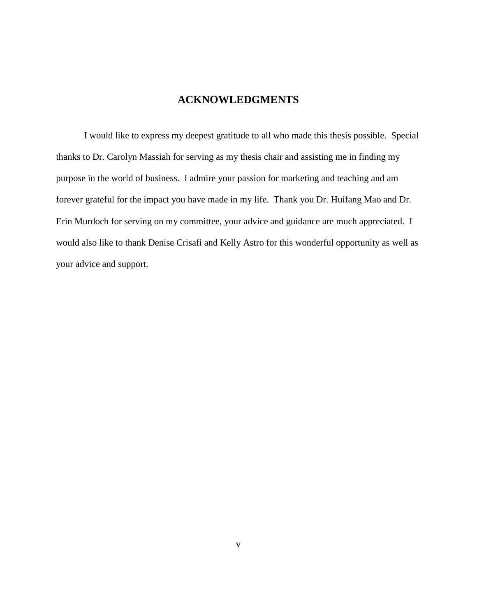## **ACKNOWLEDGMENTS**

I would like to express my deepest gratitude to all who made this thesis possible. Special thanks to Dr. Carolyn Massiah for serving as my thesis chair and assisting me in finding my purpose in the world of business. I admire your passion for marketing and teaching and am forever grateful for the impact you have made in my life. Thank you Dr. Huifang Mao and Dr. Erin Murdoch for serving on my committee, your advice and guidance are much appreciated. I would also like to thank Denise Crisafi and Kelly Astro for this wonderful opportunity as well as your advice and support.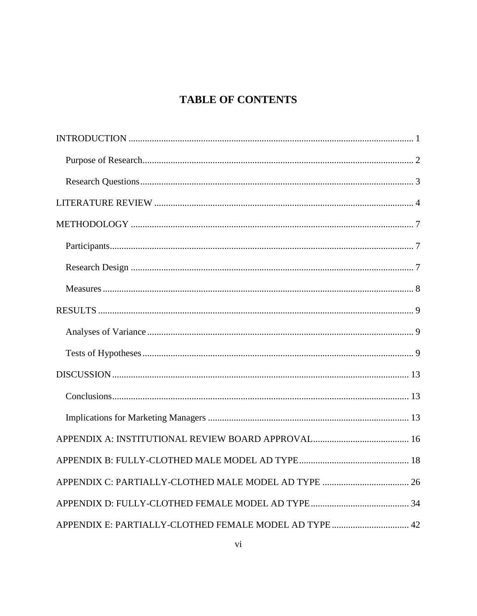## **TABLE OF CONTENTS**

| APPENDIX E: PARTIALLY-CLOTHED FEMALE MODEL AD TYPE  42 |
|--------------------------------------------------------|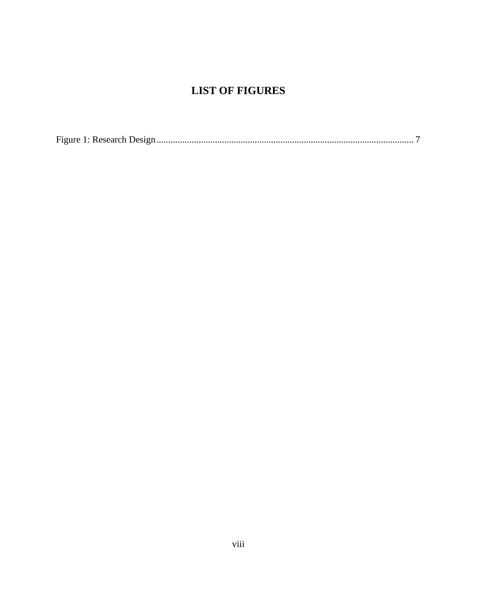## **LIST OF FIGURES**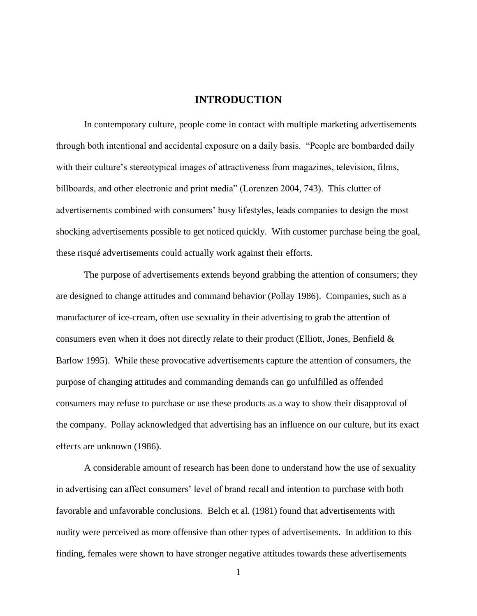## **INTRODUCTION**

<span id="page-9-0"></span>In contemporary culture, people come in contact with multiple marketing advertisements through both intentional and accidental exposure on a daily basis. "People are bombarded daily with their culture's stereotypical images of attractiveness from magazines, television, films, billboards, and other electronic and print media" (Lorenzen 2004, 743). This clutter of advertisements combined with consumers' busy lifestyles, leads companies to design the most shocking advertisements possible to get noticed quickly. With customer purchase being the goal, these risqué advertisements could actually work against their efforts.

The purpose of advertisements extends beyond grabbing the attention of consumers; they are designed to change attitudes and command behavior (Pollay 1986). Companies, such as a manufacturer of ice-cream, often use sexuality in their advertising to grab the attention of consumers even when it does not directly relate to their product (Elliott, Jones, Benfield & Barlow 1995). While these provocative advertisements capture the attention of consumers, the purpose of changing attitudes and commanding demands can go unfulfilled as offended consumers may refuse to purchase or use these products as a way to show their disapproval of the company. Pollay acknowledged that advertising has an influence on our culture, but its exact effects are unknown (1986).

A considerable amount of research has been done to understand how the use of sexuality in advertising can affect consumers' level of brand recall and intention to purchase with both favorable and unfavorable conclusions. Belch et al. (1981) found that advertisements with nudity were perceived as more offensive than other types of advertisements. In addition to this finding, females were shown to have stronger negative attitudes towards these advertisements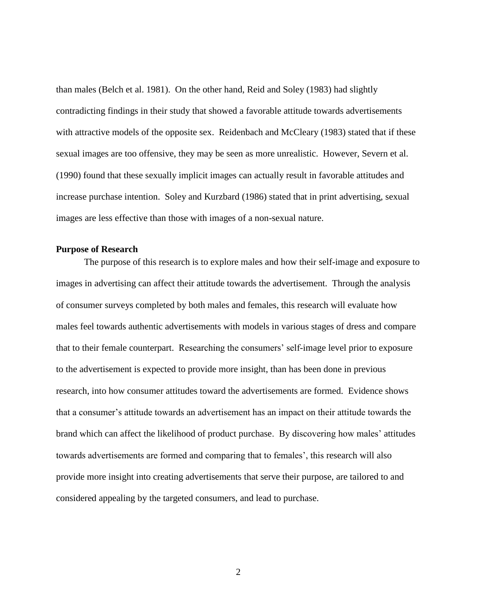than males (Belch et al. 1981). On the other hand, Reid and Soley (1983) had slightly contradicting findings in their study that showed a favorable attitude towards advertisements with attractive models of the opposite sex. Reidenbach and McCleary (1983) stated that if these sexual images are too offensive, they may be seen as more unrealistic. However, Severn et al. (1990) found that these sexually implicit images can actually result in favorable attitudes and increase purchase intention. Soley and Kurzbard (1986) stated that in print advertising, sexual images are less effective than those with images of a non-sexual nature.

#### <span id="page-10-0"></span>**Purpose of Research**

The purpose of this research is to explore males and how their self-image and exposure to images in advertising can affect their attitude towards the advertisement. Through the analysis of consumer surveys completed by both males and females, this research will evaluate how males feel towards authentic advertisements with models in various stages of dress and compare that to their female counterpart. Researching the consumers' self-image level prior to exposure to the advertisement is expected to provide more insight, than has been done in previous research, into how consumer attitudes toward the advertisements are formed. Evidence shows that a consumer's attitude towards an advertisement has an impact on their attitude towards the brand which can affect the likelihood of product purchase. By discovering how males' attitudes towards advertisements are formed and comparing that to females', this research will also provide more insight into creating advertisements that serve their purpose, are tailored to and considered appealing by the targeted consumers, and lead to purchase.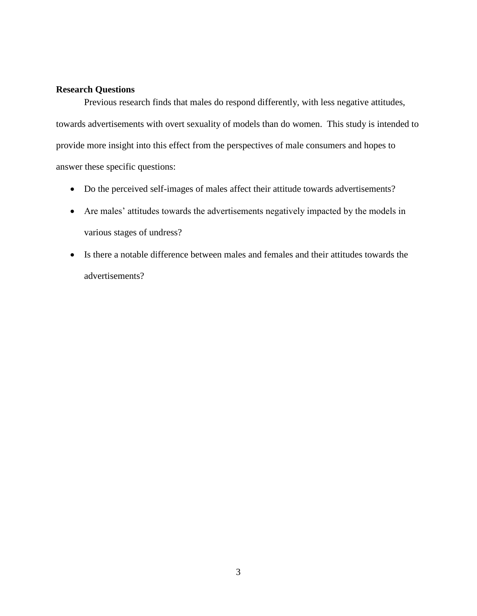#### <span id="page-11-0"></span>**Research Questions**

Previous research finds that males do respond differently, with less negative attitudes, towards advertisements with overt sexuality of models than do women. This study is intended to provide more insight into this effect from the perspectives of male consumers and hopes to answer these specific questions:

- Do the perceived self-images of males affect their attitude towards advertisements?
- Are males' attitudes towards the advertisements negatively impacted by the models in various stages of undress?
- Is there a notable difference between males and females and their attitudes towards the advertisements?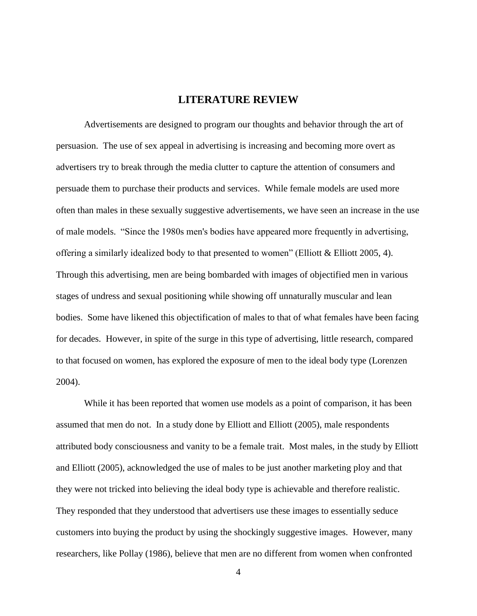## **LITERATURE REVIEW**

<span id="page-12-0"></span>Advertisements are designed to program our thoughts and behavior through the art of persuasion. The use of sex appeal in advertising is increasing and becoming more overt as advertisers try to break through the media clutter to capture the attention of consumers and persuade them to purchase their products and services. While female models are used more often than males in these sexually suggestive advertisements, we have seen an increase in the use of male models. "Since the 1980s men's bodies have appeared more frequently in advertising, offering a similarly idealized body to that presented to women" (Elliott & Elliott 2005, 4). Through this advertising, men are being bombarded with images of objectified men in various stages of undress and sexual positioning while showing off unnaturally muscular and lean bodies. Some have likened this objectification of males to that of what females have been facing for decades. However, in spite of the surge in this type of advertising, little research, compared to that focused on women, has explored the exposure of men to the ideal body type (Lorenzen 2004).

While it has been reported that women use models as a point of comparison, it has been assumed that men do not. In a study done by Elliott and Elliott (2005), male respondents attributed body consciousness and vanity to be a female trait. Most males, in the study by Elliott and Elliott (2005), acknowledged the use of males to be just another marketing ploy and that they were not tricked into believing the ideal body type is achievable and therefore realistic. They responded that they understood that advertisers use these images to essentially seduce customers into buying the product by using the shockingly suggestive images. However, many researchers, like Pollay (1986), believe that men are no different from women when confronted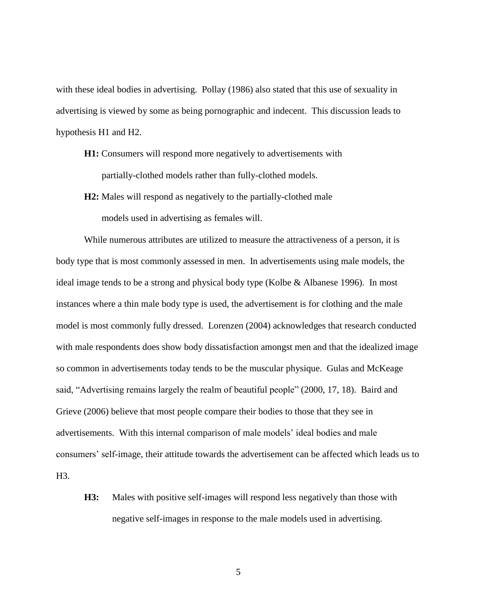with these ideal bodies in advertising. Pollay (1986) also stated that this use of sexuality in advertising is viewed by some as being pornographic and indecent. This discussion leads to hypothesis H1 and H2.

- **H1:** Consumers will respond more negatively to advertisements with partially-clothed models rather than fully-clothed models.
- **H2:** Males will respond as negatively to the partially-clothed male models used in advertising as females will.

While numerous attributes are utilized to measure the attractiveness of a person, it is body type that is most commonly assessed in men. In advertisements using male models, the ideal image tends to be a strong and physical body type (Kolbe & Albanese 1996). In most instances where a thin male body type is used, the advertisement is for clothing and the male model is most commonly fully dressed. Lorenzen (2004) acknowledges that research conducted with male respondents does show body dissatisfaction amongst men and that the idealized image so common in advertisements today tends to be the muscular physique. Gulas and McKeage said, "Advertising remains largely the realm of beautiful people" (2000, 17, 18). Baird and Grieve (2006) believe that most people compare their bodies to those that they see in advertisements. With this internal comparison of male models' ideal bodies and male consumers' self-image, their attitude towards the advertisement can be affected which leads us to H3.

**H3:** Males with positive self-images will respond less negatively than those with negative self-images in response to the male models used in advertising.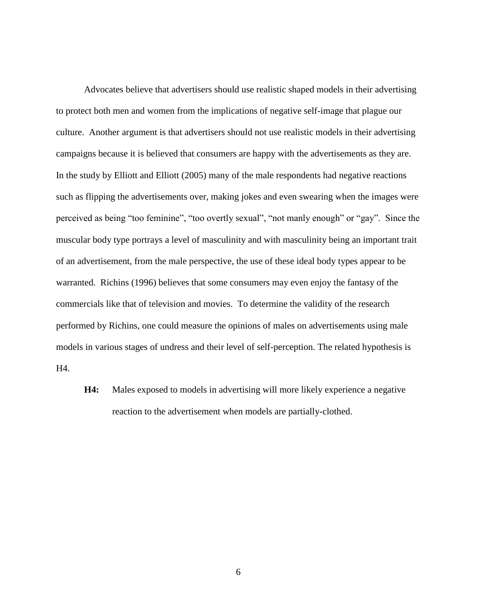Advocates believe that advertisers should use realistic shaped models in their advertising to protect both men and women from the implications of negative self-image that plague our culture. Another argument is that advertisers should not use realistic models in their advertising campaigns because it is believed that consumers are happy with the advertisements as they are. In the study by Elliott and Elliott (2005) many of the male respondents had negative reactions such as flipping the advertisements over, making jokes and even swearing when the images were perceived as being "too feminine", "too overtly sexual", "not manly enough" or "gay". Since the muscular body type portrays a level of masculinity and with masculinity being an important trait of an advertisement, from the male perspective, the use of these ideal body types appear to be warranted. Richins (1996) believes that some consumers may even enjoy the fantasy of the commercials like that of television and movies. To determine the validity of the research performed by Richins, one could measure the opinions of males on advertisements using male models in various stages of undress and their level of self-perception. The related hypothesis is H4.

**H4:** Males exposed to models in advertising will more likely experience a negative reaction to the advertisement when models are partially-clothed.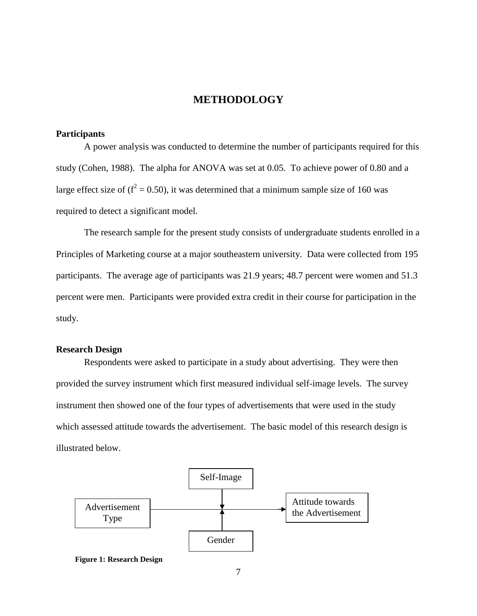## **METHODOLOGY**

#### <span id="page-15-1"></span><span id="page-15-0"></span>**Participants**

A power analysis was conducted to determine the number of participants required for this study (Cohen, 1988). The alpha for ANOVA was set at 0.05. To achieve power of 0.80 and a large effect size of ( $f^2 = 0.50$ ), it was determined that a minimum sample size of 160 was required to detect a significant model.

The research sample for the present study consists of undergraduate students enrolled in a Principles of Marketing course at a major southeastern university. Data were collected from 195 participants. The average age of participants was 21.9 years; 48.7 percent were women and 51.3 percent were men. Participants were provided extra credit in their course for participation in the study.

#### <span id="page-15-2"></span>**Research Design**

Respondents were asked to participate in a study about advertising. They were then provided the survey instrument which first measured individual self-image levels. The survey instrument then showed one of the four types of advertisements that were used in the study which assessed attitude towards the advertisement. The basic model of this research design is illustrated below.



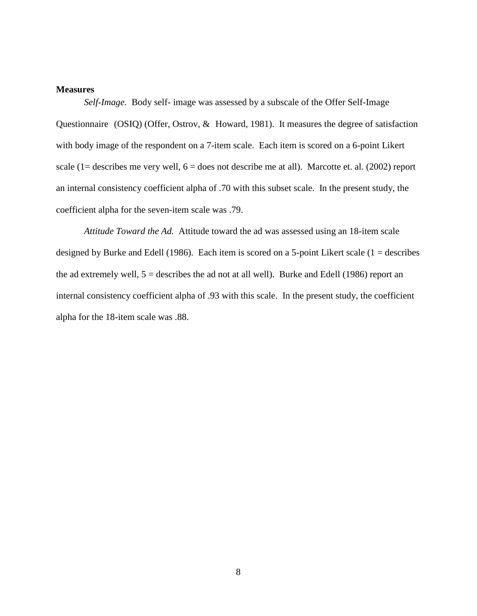#### <span id="page-16-0"></span>**Measures**

*Self-Image.* Body self- image was assessed by a subscale of the Offer Self-Image Questionnaire (OSIQ) (Offer, Ostrov, & Howard, 1981). It measures the degree of satisfaction with body image of the respondent on a 7-item scale. Each item is scored on a 6-point Likert scale (1= describes me very well,  $6 =$  does not describe me at all). Marcotte et. al. (2002) report an internal consistency coefficient alpha of .70 with this subset scale. In the present study, the coefficient alpha for the seven-item scale was .79.

*Attitude Toward the Ad.* Attitude toward the ad was assessed using an 18-item scale designed by Burke and Edell (1986). Each item is scored on a 5-point Likert scale ( $1 =$  describes the ad extremely well,  $5 =$  describes the ad not at all well). Burke and Edell (1986) report an internal consistency coefficient alpha of .93 with this scale. In the present study, the coefficient alpha for the 18-item scale was .88.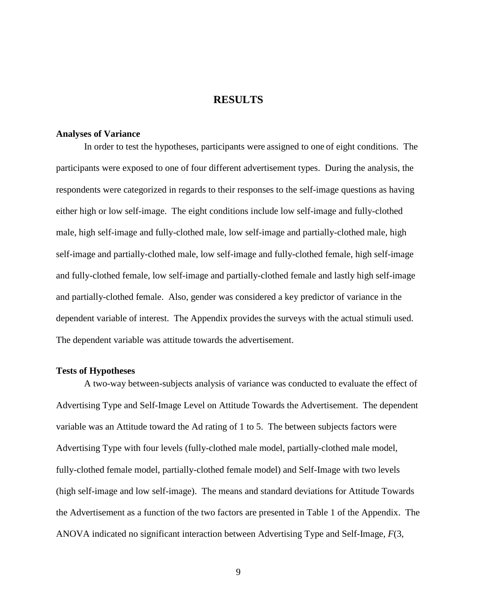## **RESULTS**

#### <span id="page-17-1"></span><span id="page-17-0"></span>**Analyses of Variance**

In order to test the hypotheses, participants were assigned to one of eight conditions. The participants were exposed to one of four different advertisement types. During the analysis, the respondents were categorized in regards to their responses to the self-image questions as having either high or low self-image. The eight conditions include low self-image and fully-clothed male, high self-image and fully-clothed male, low self-image and partially-clothed male, high self-image and partially-clothed male, low self-image and fully-clothed female, high self-image and fully-clothed female, low self-image and partially-clothed female and lastly high self-image and partially-clothed female. Also, gender was considered a key predictor of variance in the dependent variable of interest. The Appendix provides the surveys with the actual stimuli used. The dependent variable was attitude towards the advertisement.

#### <span id="page-17-2"></span>**Tests of Hypotheses**

A two-way between-subjects analysis of variance was conducted to evaluate the effect of Advertising Type and Self-Image Level on Attitude Towards the Advertisement. The dependent variable was an Attitude toward the Ad rating of 1 to 5. The between subjects factors were Advertising Type with four levels (fully-clothed male model, partially-clothed male model, fully-clothed female model, partially-clothed female model) and Self-Image with two levels (high self-image and low self-image). The means and standard deviations for Attitude Towards the Advertisement as a function of the two factors are presented in Table 1 of the Appendix. The ANOVA indicated no significant interaction between Advertising Type and Self-Image, *F*(3,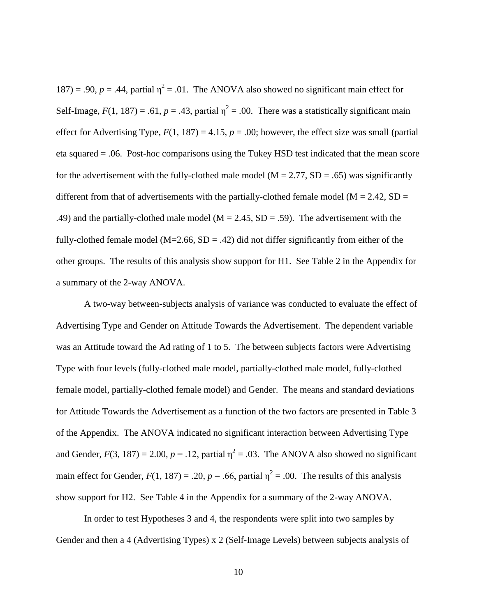$187$ ) = .90,  $p = .44$ , partial  $\eta^2 = .01$ . The ANOVA also showed no significant main effect for Self-Image,  $F(1, 187) = .61$ ,  $p = .43$ , partial  $\eta^2 = .00$ . There was a statistically significant main effect for Advertising Type,  $F(1, 187) = 4.15$ ,  $p = .00$ ; however, the effect size was small (partial eta squared = .06. Post-hoc comparisons using the Tukey HSD test indicated that the mean score for the advertisement with the fully-clothed male model ( $M = 2.77$ ,  $SD = .65$ ) was significantly different from that of advertisements with the partially-clothed female model ( $M = 2.42$ , SD = .49) and the partially-clothed male model ( $M = 2.45$ ,  $SD = .59$ ). The advertisement with the fully-clothed female model ( $M=2.66$ ,  $SD = .42$ ) did not differ significantly from either of the other groups. The results of this analysis show support for H1. See Table 2 in the Appendix for a summary of the 2-way ANOVA.

A two-way between-subjects analysis of variance was conducted to evaluate the effect of Advertising Type and Gender on Attitude Towards the Advertisement. The dependent variable was an Attitude toward the Ad rating of 1 to 5. The between subjects factors were Advertising Type with four levels (fully-clothed male model, partially-clothed male model, fully-clothed female model, partially-clothed female model) and Gender. The means and standard deviations for Attitude Towards the Advertisement as a function of the two factors are presented in Table 3 of the Appendix. The ANOVA indicated no significant interaction between Advertising Type and Gender,  $F(3, 187) = 2.00$ ,  $p = .12$ , partial  $\eta^2 = .03$ . The ANOVA also showed no significant main effect for Gender,  $F(1, 187) = .20$ ,  $p = .66$ , partial  $\eta^2 = .00$ . The results of this analysis show support for H2. See Table 4 in the Appendix for a summary of the 2-way ANOVA.

In order to test Hypotheses 3 and 4, the respondents were split into two samples by Gender and then a 4 (Advertising Types) x 2 (Self-Image Levels) between subjects analysis of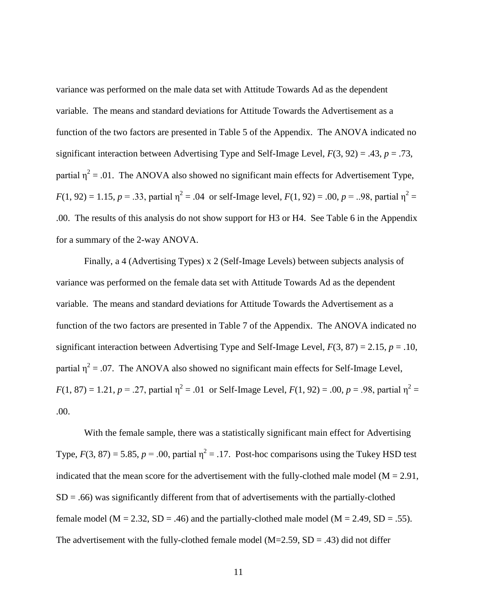variance was performed on the male data set with Attitude Towards Ad as the dependent variable. The means and standard deviations for Attitude Towards the Advertisement as a function of the two factors are presented in Table 5 of the Appendix. The ANOVA indicated no significant interaction between Advertising Type and Self-Image Level, *F*(3, 92) = .43, *p* = .73, partial  $\eta^2$  = .01. The ANOVA also showed no significant main effects for Advertisement Type,  $F(1, 92) = 1.15$ ,  $p = .33$ , partial  $\eta^2 = .04$  or self-Image level,  $F(1, 92) = .00$ ,  $p = .08$ , partial  $\eta^2 =$ .00. The results of this analysis do not show support for H3 or H4. See Table 6 in the Appendix for a summary of the 2-way ANOVA.

Finally, a 4 (Advertising Types) x 2 (Self-Image Levels) between subjects analysis of variance was performed on the female data set with Attitude Towards Ad as the dependent variable. The means and standard deviations for Attitude Towards the Advertisement as a function of the two factors are presented in Table 7 of the Appendix. The ANOVA indicated no significant interaction between Advertising Type and Self-Image Level,  $F(3, 87) = 2.15$ ,  $p = .10$ , partial  $\eta^2$  = .07. The ANOVA also showed no significant main effects for Self-Image Level,  $F(1, 87) = 1.21$ ,  $p = .27$ , partial  $\eta^2 = .01$  or Self-Image Level,  $F(1, 92) = .00$ ,  $p = .98$ , partial  $\eta^2 =$ .00.

With the female sample, there was a statistically significant main effect for Advertising Type,  $F(3, 87) = 5.85$ ,  $p = .00$ , partial  $\eta^2 = .17$ . Post-hoc comparisons using the Tukey HSD test indicated that the mean score for the advertisement with the fully-clothed male model ( $M = 2.91$ ,  $SD = .66$ ) was significantly different from that of advertisements with the partially-clothed female model ( $M = 2.32$ ,  $SD = .46$ ) and the partially-clothed male model ( $M = 2.49$ ,  $SD = .55$ ). The advertisement with the fully-clothed female model ( $M=2.59$ ,  $SD = .43$ ) did not differ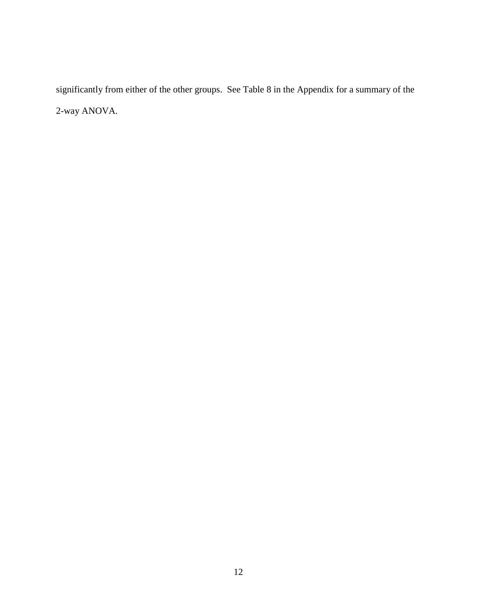significantly from either of the other groups. See Table 8 in the Appendix for a summary of the 2-way ANOVA.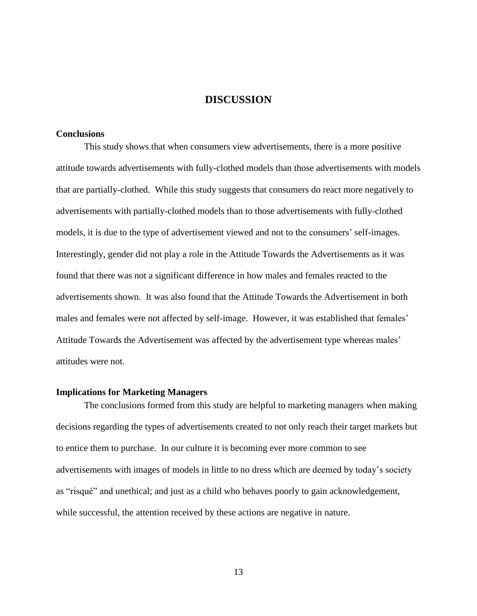## **DISCUSSION**

#### <span id="page-21-1"></span><span id="page-21-0"></span>**Conclusions**

This study shows that when consumers view advertisements, there is a more positive attitude towards advertisements with fully-clothed models than those advertisements with models that are partially-clothed. While this study suggests that consumers do react more negatively to advertisements with partially-clothed models than to those advertisements with fully-clothed models, it is due to the type of advertisement viewed and not to the consumers' self-images. Interestingly, gender did not play a role in the Attitude Towards the Advertisements as it was found that there was not a significant difference in how males and females reacted to the advertisements shown. It was also found that the Attitude Towards the Advertisement in both males and females were not affected by self-image. However, it was established that females' Attitude Towards the Advertisement was affected by the advertisement type whereas males' attitudes were not.

#### <span id="page-21-2"></span>**Implications for Marketing Managers**

The conclusions formed from this study are helpful to marketing managers when making decisions regarding the types of advertisements created to not only reach their target markets but to entice them to purchase. In our culture it is becoming ever more common to see advertisements with images of models in little to no dress which are deemed by today's society as "risqué" and unethical; and just as a child who behaves poorly to gain acknowledgement, while successful, the attention received by these actions are negative in nature.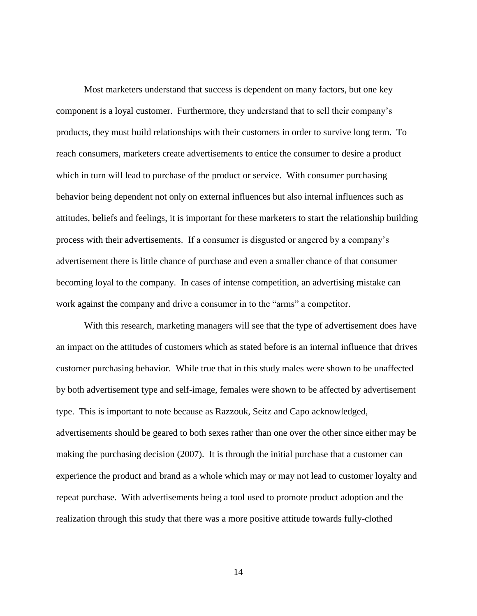Most marketers understand that success is dependent on many factors, but one key component is a loyal customer. Furthermore, they understand that to sell their company's products, they must build relationships with their customers in order to survive long term. To reach consumers, marketers create advertisements to entice the consumer to desire a product which in turn will lead to purchase of the product or service. With consumer purchasing behavior being dependent not only on external influences but also internal influences such as attitudes, beliefs and feelings, it is important for these marketers to start the relationship building process with their advertisements. If a consumer is disgusted or angered by a company's advertisement there is little chance of purchase and even a smaller chance of that consumer becoming loyal to the company. In cases of intense competition, an advertising mistake can work against the company and drive a consumer in to the "arms" a competitor.

With this research, marketing managers will see that the type of advertisement does have an impact on the attitudes of customers which as stated before is an internal influence that drives customer purchasing behavior. While true that in this study males were shown to be unaffected by both advertisement type and self-image, females were shown to be affected by advertisement type. This is important to note because as Razzouk, Seitz and Capo acknowledged, advertisements should be geared to both sexes rather than one over the other since either may be making the purchasing decision (2007). It is through the initial purchase that a customer can experience the product and brand as a whole which may or may not lead to customer loyalty and repeat purchase. With advertisements being a tool used to promote product adoption and the realization through this study that there was a more positive attitude towards fully-clothed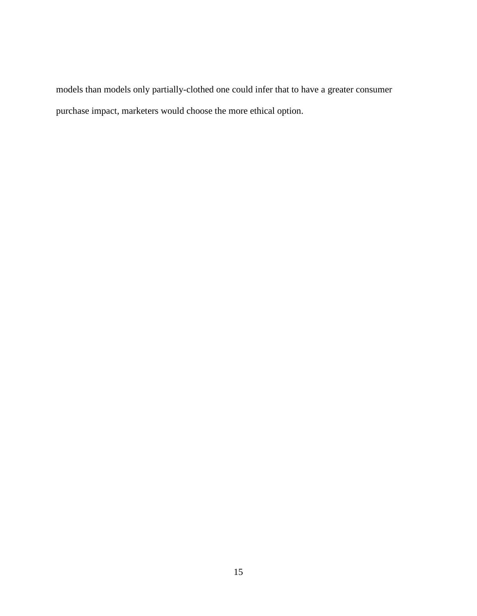models than models only partially-clothed one could infer that to have a greater consumer purchase impact, marketers would choose the more ethical option.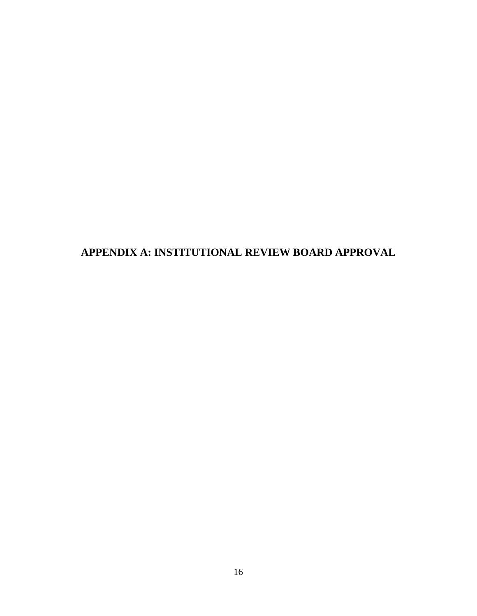<span id="page-24-0"></span>**APPENDIX A: INSTITUTIONAL REVIEW BOARD APPROVAL**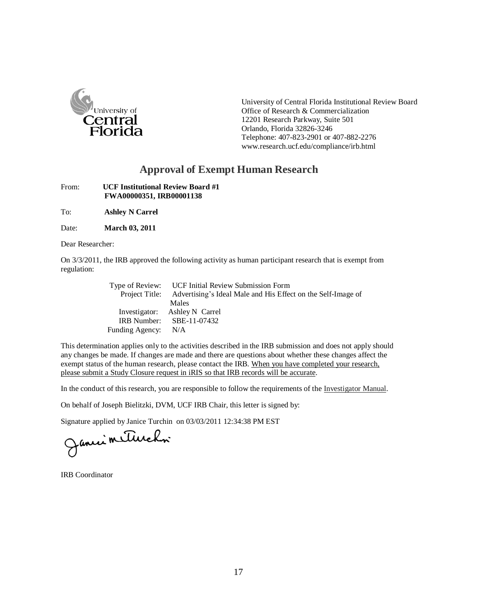

University of Central Florida Institutional Review Board Office of Research & Commercialization 12201 Research Parkway, Suite 501 Orlando, Florida 32826-3246 Telephone: 407-823-2901 or 407-882-227[6](http://www.research.ucf.edu/compliance/irb.html) [www.research.ucf.edu/compliance/irb.html](http://www.research.ucf.edu/compliance/irb.html)

## **Approval of Exempt Human Research**

From: **UCF Institutional Review Board #1 FWA00000351, IRB00001138**

To: **Ashley N Carrel**

Date: **March 03, 2011**

Dear Researcher:

On 3/3/2011, the IRB approved the following activity as human participant research that is exempt from regulation:

|                 | Type of Review: UCF Initial Review Submission Form                          |
|-----------------|-----------------------------------------------------------------------------|
|                 | Project Title: Advertising's Ideal Male and His Effect on the Self-Image of |
|                 | Males                                                                       |
|                 | Investigator: Ashley N Carrel                                               |
|                 | IRB Number: $SBE-11-07432$                                                  |
| Funding Agency: | N/A                                                                         |

This determination applies only to the activities described in the IRB submission and does not apply should any changes be made. If changes are made and there are questions about whether these changes affect the exempt status of the human research, please contact the IRB. When you have completed your research, please submit a Study Closure request in iRIS so that IRB records will be accurate.

In the conduct of this research, you are responsible to follow the requirements of the Investigator Manual.

On behalf of Joseph Bielitzki, DVM, UCF IRB Chair, this letter is signed by:

Signature applied by Janice Turchin on 03/03/2011 12:34:38 PM EST<br>
Jancie Mullecher

IRB Coordinator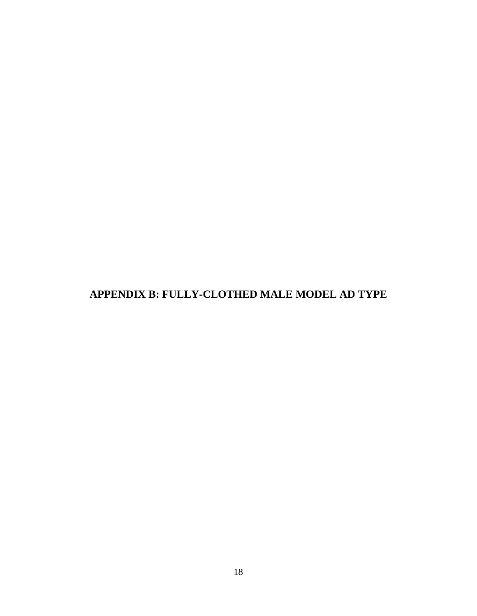<span id="page-26-0"></span>**APPENDIX B: FULLY-CLOTHED MALE MODEL AD TYPE**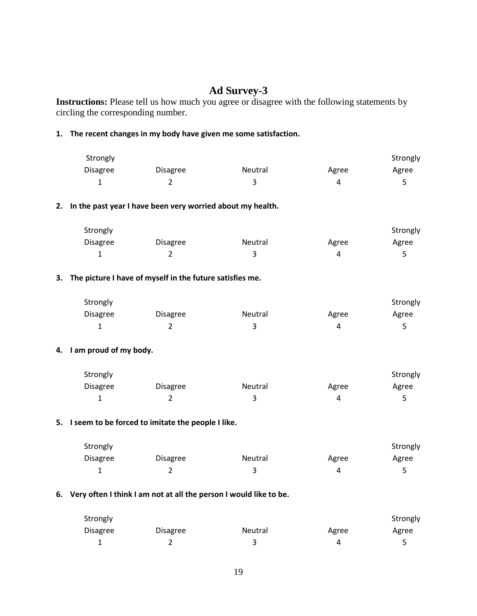## **Ad Survey-3**

**Instructions:** Please tell us how much you agree or disagree with the following statements by circling the corresponding number.

#### **1. The recent changes in my body have given me some satisfaction.**

| Strongly        |                 |         |       | Strongly |
|-----------------|-----------------|---------|-------|----------|
| <b>Disagree</b> | <b>Disagree</b> | Neutral | Agree | Agree    |
|                 |                 |         |       |          |

#### **2. In the past year I have been very worried about my health.**

| Strongly        |          |         |       | Strongly |
|-----------------|----------|---------|-------|----------|
| <b>Disagree</b> | Disagree | Neutral | Agree | Agree    |
|                 |          |         | Д     |          |

#### **3. The picture I have of myself in the future satisfies me.**

| Strongly        |                 |         |       | Strongly |
|-----------------|-----------------|---------|-------|----------|
| <b>Disagree</b> | <b>Disagree</b> | Neutral | Agree | Agree    |
| --              |                 |         |       |          |

#### **4. I am proud of my body.**

| Strongly        |                 |                |       | Strongly |
|-----------------|-----------------|----------------|-------|----------|
| <b>Disagree</b> | <b>Disagree</b> | <b>Neutral</b> | Agree | Agree    |
|                 |                 |                |       |          |

#### **5. I seem to be forced to imitate the people I like.**

| Strongly        |                 |                |       | Strongly |
|-----------------|-----------------|----------------|-------|----------|
| <b>Disagree</b> | <b>Disagree</b> | <b>Neutral</b> | Agree | Agree    |
| ∸               |                 |                |       |          |

#### **6. Very often I think I am not at all the person I would like to be.**

| Strongly |          |         |       | Strongly |
|----------|----------|---------|-------|----------|
| Disagree | Disagree | Neutral | Agree | Agree    |
| -        |          |         |       |          |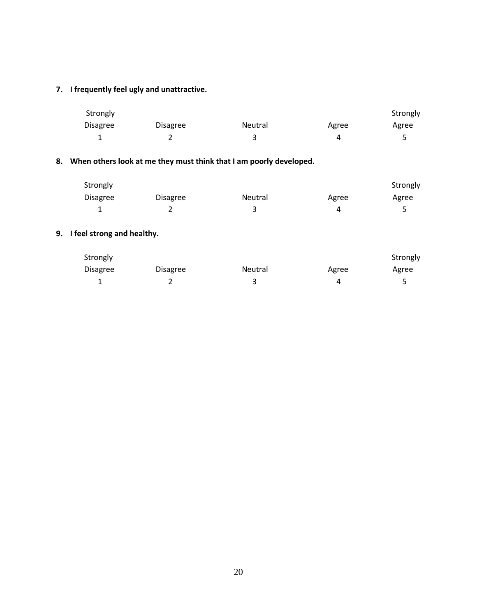## **7. I frequently feel ugly and unattractive.**

| Strongly        |          |         |       | Strongly |
|-----------------|----------|---------|-------|----------|
| <b>Disagree</b> | Disagree | Neutral | Agree | Agree    |
| -               |          |         |       |          |

## **8. When others look at me they must think that I am poorly developed.**

| Strongly        |                 |                |       | Strongly |
|-----------------|-----------------|----------------|-------|----------|
| <b>Disagree</b> | <b>Disagree</b> | <b>Neutral</b> | Agree | Agree    |
|                 |                 |                |       |          |

## **9. I feel strong and healthy.**

| Strongly        |          |         |       | Strongly |
|-----------------|----------|---------|-------|----------|
| <b>Disagree</b> | Disagree | Neutral | Agree | Agree    |
|                 |          |         | Δ     |          |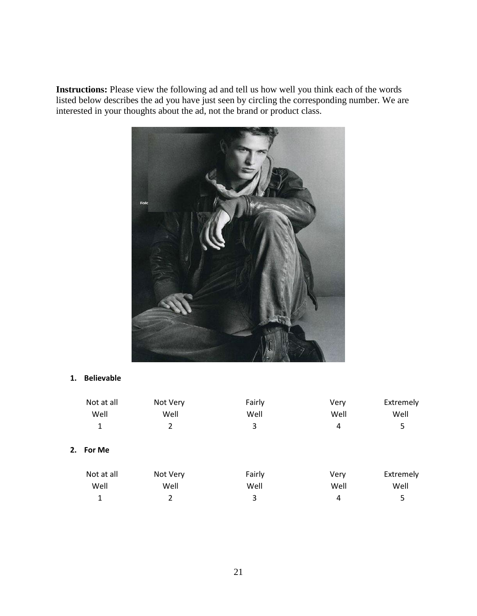**Instructions:** Please view the following ad and tell us how well you think each of the words listed below describes the ad you have just seen by circling the corresponding number. We are interested in your thoughts about the ad, not the brand or product class.



## **1. Believable**

|    | Not at all<br>Well | Not Very<br>Well | Fairly<br>Well | Very<br>Well | Extremely<br>Well |
|----|--------------------|------------------|----------------|--------------|-------------------|
|    | 1                  | 2                | 3              | 4            | 5                 |
| 2. | For Me             |                  |                |              |                   |
|    | Not at all         | Not Very         | Fairly         | Very         | Extremely         |
|    | Well               | Well             | Well           | Well         | Well              |
|    | 1                  | 2                | 3              | 4            | 5                 |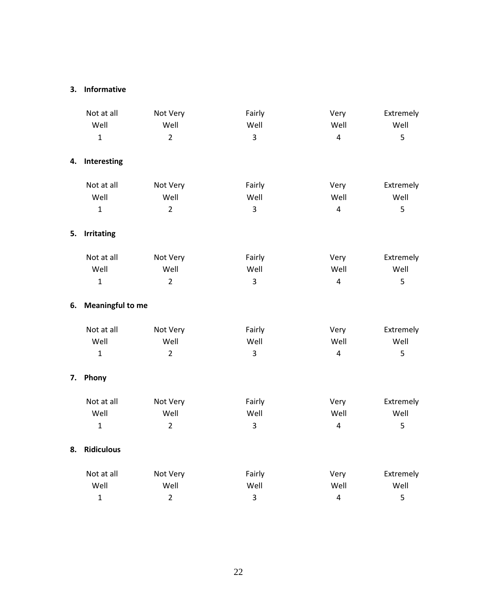#### **3. Informative**

|    | Not at all              | Not Very       | Fairly                  | Very           | Extremely |
|----|-------------------------|----------------|-------------------------|----------------|-----------|
|    | Well                    | Well           | Well                    | Well           | Well      |
|    | $\mathbf{1}$            | $\overline{2}$ | 3                       | $\overline{4}$ | 5         |
| 4. | Interesting             |                |                         |                |           |
|    | Not at all              | Not Very       | Fairly                  | Very           | Extremely |
|    | Well                    | Well           | Well                    | Well           | Well      |
|    | $\mathbf{1}$            | $\overline{2}$ | $\overline{3}$          | $\overline{4}$ | 5         |
| 5. | <b>Irritating</b>       |                |                         |                |           |
|    | Not at all              | Not Very       | Fairly                  | Very           | Extremely |
|    | Well                    | Well           | Well                    | Well           | Well      |
|    | $\mathbf{1}$            | $\overline{2}$ | $\overline{\mathbf{3}}$ | $\overline{4}$ | 5         |
| 6. | <b>Meaningful to me</b> |                |                         |                |           |
|    | Not at all              | Not Very       | Fairly                  | Very           | Extremely |
|    | Well                    | Well           | Well                    | Well           | Well      |
|    | $\mathbf 1$             | $\overline{2}$ | $\overline{\mathbf{3}}$ | $\overline{4}$ | 5         |
| 7. | Phony                   |                |                         |                |           |
|    | Not at all              | Not Very       | Fairly                  | Very           | Extremely |
|    | Well                    | Well           | Well                    | Well           | Well      |
|    | $\mathbf{1}$            | $\overline{2}$ | 3                       | $\overline{4}$ | 5         |
| 8. | <b>Ridiculous</b>       |                |                         |                |           |
|    | Not at all              | Not Very       | Fairly                  | Very           | Extremely |
|    | Well                    | Well           | Well                    | Well           | Well      |
|    | $\mathbf{1}$            | $\overline{2}$ | $\mathbf{3}$            | $\overline{4}$ | 5         |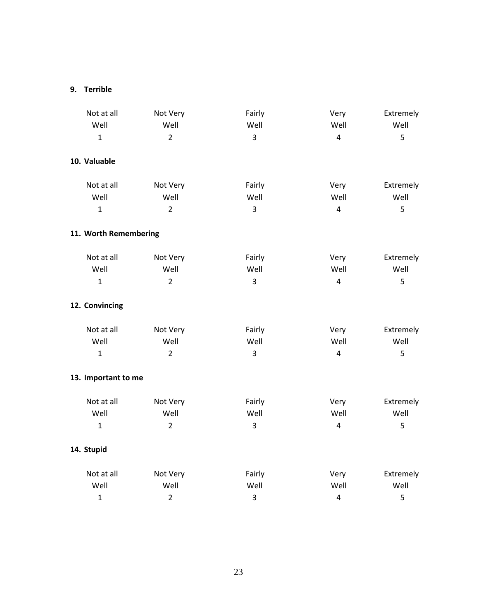## **9. Terrible**

| Not at all            | Not Very       | Fairly         | Very           | Extremely |
|-----------------------|----------------|----------------|----------------|-----------|
| Well                  | Well           | Well           | Well           | Well      |
| $\mathbf{1}$          | $\overline{2}$ | $\overline{3}$ | $\overline{4}$ | 5         |
| 10. Valuable          |                |                |                |           |
| Not at all            | Not Very       | Fairly         | Very           | Extremely |
| Well                  | Well           | Well           | Well           | Well      |
| $\mathbf{1}$          | $\overline{2}$ | $\overline{3}$ | $\overline{4}$ | 5         |
| 11. Worth Remembering |                |                |                |           |
| Not at all            | Not Very       | Fairly         | Very           | Extremely |
| Well                  | Well           | Well           | Well           | Well      |
| $\mathbf{1}$          | $\overline{2}$ | $\overline{3}$ | $\overline{4}$ | 5         |
| 12. Convincing        |                |                |                |           |
| Not at all            | Not Very       | Fairly         | Very           | Extremely |
| Well                  | Well           | Well           | Well           | Well      |
| $\mathbf{1}$          | $\overline{2}$ | 3              | $\overline{4}$ | 5         |
| 13. Important to me   |                |                |                |           |
| Not at all            | Not Very       | Fairly         | Very           | Extremely |
| Well                  | Well           | Well           | Well           | Well      |
| $\mathbf{1}$          | $\overline{2}$ | $\overline{3}$ | $\overline{4}$ | 5         |
| 14. Stupid            |                |                |                |           |
| Not at all            | Not Very       | Fairly         | Very           | Extremely |
| Well                  | Well           | Well           | Well           | Well      |
| $\mathbf{1}$          | $\overline{2}$ | 3              | $\overline{4}$ | 5         |
|                       |                |                |                |           |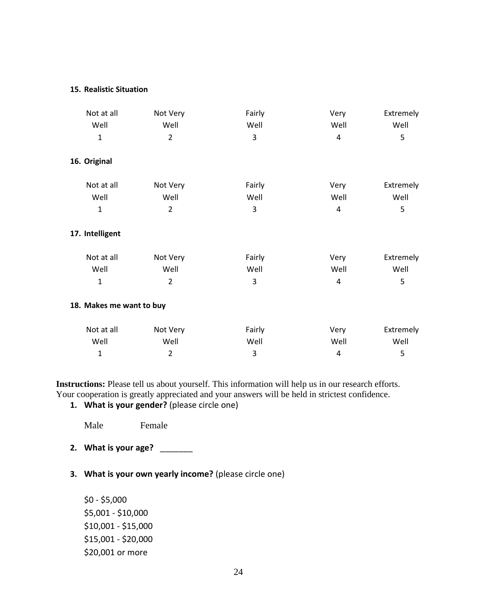#### **15. Realistic Situation**

| Not at all               | Not Very       | Fairly | Very | Extremely |
|--------------------------|----------------|--------|------|-----------|
| Well                     | Well           | Well   | Well | Well      |
| $\mathbf{1}$             | $\overline{2}$ | 3      | 4    | 5         |
| 16. Original             |                |        |      |           |
| Not at all               | Not Very       | Fairly | Very | Extremely |
| Well                     | Well           | Well   | Well | Well      |
| $\mathbf 1$              | $\overline{2}$ | 3      | 4    | 5         |
| 17. Intelligent          |                |        |      |           |
| Not at all               | Not Very       | Fairly | Very | Extremely |
| Well                     | Well           | Well   | Well | Well      |
| $\mathbf{1}$             | $\overline{2}$ | 3      | 4    | 5         |
| 18. Makes me want to buy |                |        |      |           |
| Not at all               | Not Very       | Fairly | Very | Extremely |
| Well                     | Well           | Well   | Well | Well      |
| $\mathbf 1$              | $\overline{2}$ | 3      | 4    | 5         |

**Instructions:** Please tell us about yourself. This information will help us in our research efforts. Your cooperation is greatly appreciated and your answers will be held in strictest confidence.

**1. What is your gender?** (please circle one)

Male Female

- **2. What is your age?** \_\_\_\_\_\_\_
- **3. What is your own yearly income?** (please circle one)

\$0 - \$5,000 \$5,001 - \$10,000 \$10,001 - \$15,000 \$15,001 - \$20,000 \$20,001 or more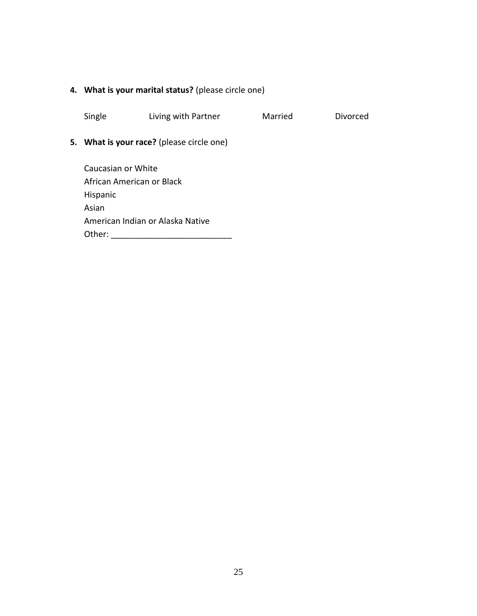## **4. What is your marital status?** (please circle one)

Single Living with Partner Married Divorced

## **5. What is your race?** (please circle one)

Caucasian or White African American or Black Hispanic Asian American Indian or Alaska Native Other: \_\_\_\_\_\_\_\_\_\_\_\_\_\_\_\_\_\_\_\_\_\_\_\_\_\_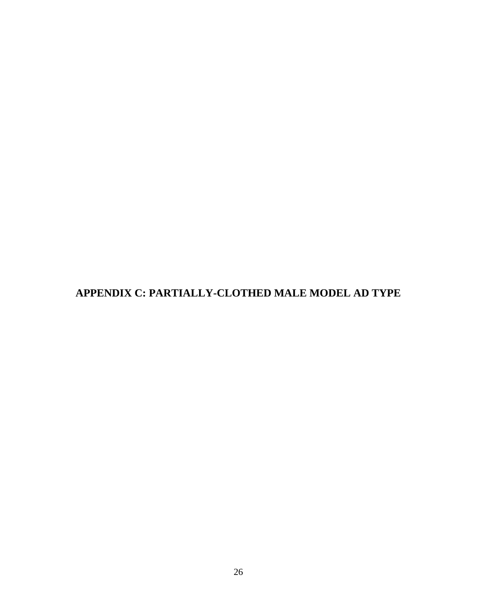<span id="page-34-0"></span>**APPENDIX C: PARTIALLY-CLOTHED MALE MODEL AD TYPE**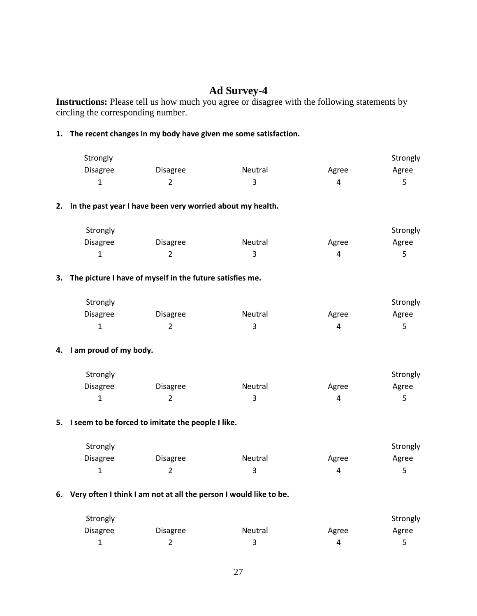## **Ad Survey-4**

**Instructions:** Please tell us how much you agree or disagree with the following statements by circling the corresponding number.

#### **1. The recent changes in my body have given me some satisfaction.**

| Strongly        |          |         |       | Strongly |
|-----------------|----------|---------|-------|----------|
| <b>Disagree</b> | Disagree | Neutral | Agree | Agree    |
|                 |          |         |       |          |

#### **2. In the past year I have been very worried about my health.**

| Strongly        |                 |                |       | Strongly |
|-----------------|-----------------|----------------|-------|----------|
| <b>Disagree</b> | <b>Disagree</b> | <b>Neutral</b> | Agree | Agree    |
|                 |                 |                |       |          |

#### **3. The picture I have of myself in the future satisfies me.**

| Strongly        |                 |         |       | Strongly |
|-----------------|-----------------|---------|-------|----------|
| <b>Disagree</b> | <b>Disagree</b> | Neutral | Agree | Agree    |
| -               |                 |         |       |          |

#### **4. I am proud of my body.**

| Strongly        |                 |         |       | Strongly |
|-----------------|-----------------|---------|-------|----------|
| <b>Disagree</b> | <b>Disagree</b> | Neutral | Agree | Agree    |
|                 |                 |         |       |          |

#### **5. I seem to be forced to imitate the people I like.**

| Strongly        |          |         |       | Strongly |
|-----------------|----------|---------|-------|----------|
| <b>Disagree</b> | Disagree | Neutral | Agree | Agree    |
|                 |          |         | Д     |          |

#### **6. Very often I think I am not at all the person I would like to be.**

| Strongly |                 |                |       | Strongly |
|----------|-----------------|----------------|-------|----------|
| Disagree | <b>Disagree</b> | <b>Neutral</b> | Agree | Agree    |
| --       |                 |                |       |          |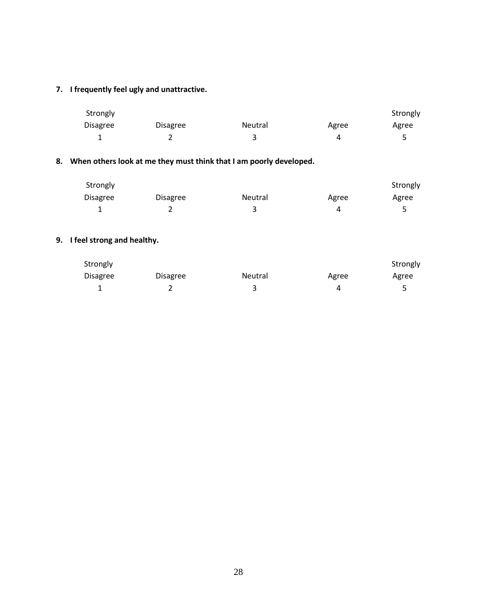## **7. I frequently feel ugly and unattractive.**

| Strongly        |          |         |       | Strongly |
|-----------------|----------|---------|-------|----------|
| <b>Disagree</b> | Disagree | Neutral | Agree | Agree    |
| -               |          |         |       |          |

## **8. When others look at me they must think that I am poorly developed.**

| Strongly        |          |         |       | Strongly |
|-----------------|----------|---------|-------|----------|
| <b>Disagree</b> | Disagree | Neutral | Agree | Agree    |
|                 | L        |         | 4     |          |

## **9. I feel strong and healthy.**

| Strongly        |          |                |       | Strongly |
|-----------------|----------|----------------|-------|----------|
| <b>Disagree</b> | Disagree | <b>Neutral</b> | Agree | Agree    |
|                 |          |                |       |          |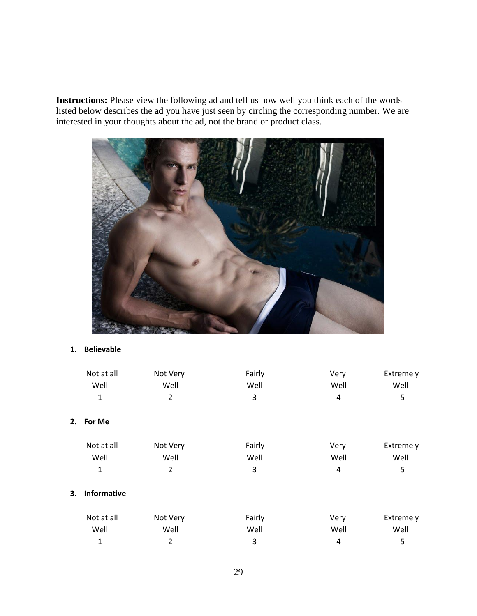**Instructions:** Please view the following ad and tell us how well you think each of the words listed below describes the ad you have just seen by circling the corresponding number. We are interested in your thoughts about the ad, not the brand or product class.



## **1. Believable**

|    | Not at all         | Not Very       | Fairly | Very | Extremely |
|----|--------------------|----------------|--------|------|-----------|
|    | Well               | Well           | Well   | Well | Well      |
|    | $\mathbf 1$        | $\overline{2}$ | 3      | 4    | 5         |
| 2. | For Me             |                |        |      |           |
|    | Not at all         | Not Very       | Fairly | Very | Extremely |
|    | Well               | Well           | Well   | Well | Well      |
|    | $\mathbf 1$        | 2              | 3      | 4    | 5         |
| 3. | <b>Informative</b> |                |        |      |           |
|    | Not at all         | Not Very       | Fairly | Very | Extremely |
|    | Well               | Well           | Well   | Well | Well      |
|    | 1                  | 2              | 3      | 4    | 5         |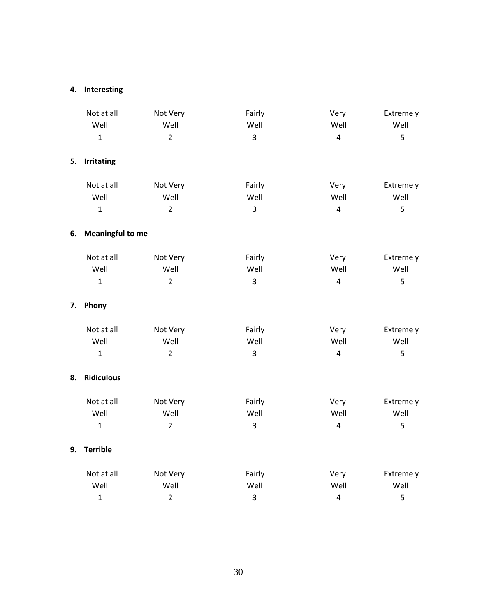## **4. Interesting**

|    | Not at all<br>Well      | Not Very<br>Well | Fairly<br>Well          | Very<br>Well            | Extremely<br>Well |
|----|-------------------------|------------------|-------------------------|-------------------------|-------------------|
|    | $\mathbf{1}$            | $\overline{2}$   | $\overline{\mathbf{3}}$ | $\overline{4}$          | 5                 |
| 5. | <b>Irritating</b>       |                  |                         |                         |                   |
|    | Not at all              | Not Very         | Fairly                  | Very                    | Extremely         |
|    | Well                    | Well             | Well                    | Well                    | Well              |
|    | $\mathbf{1}$            | $\overline{2}$   | $\overline{3}$          | $\overline{4}$          | 5                 |
| 6. | <b>Meaningful to me</b> |                  |                         |                         |                   |
|    | Not at all              | Not Very         | Fairly                  | Very                    | Extremely         |
|    | Well                    | Well             | Well                    | Well                    | Well              |
|    | $\mathbf{1}$            | $\overline{2}$   | $\overline{3}$          | $\overline{4}$          | 5                 |
| 7. | Phony                   |                  |                         |                         |                   |
|    | Not at all              | Not Very         | Fairly                  | Very                    | Extremely         |
|    | Well                    | Well             | Well                    | Well                    | Well              |
|    | $\mathbf{1}$            | $\overline{2}$   | $\overline{3}$          | $\overline{4}$          | 5                 |
| 8. | <b>Ridiculous</b>       |                  |                         |                         |                   |
|    | Not at all              | Not Very         | Fairly                  | Very                    | Extremely         |
|    | Well                    | Well             | Well                    | Well                    | Well              |
|    | $\mathbf{1}$            | $\overline{2}$   | 3                       | $\overline{4}$          | 5                 |
| 9. | <b>Terrible</b>         |                  |                         |                         |                   |
|    | Not at all              | Not Very         | Fairly                  | Very                    | Extremely         |
|    | Well                    | Well             | Well                    | Well                    | Well              |
|    | $\mathbf{1}$            | $\overline{2}$   | 3                       | $\overline{\mathbf{4}}$ | 5                 |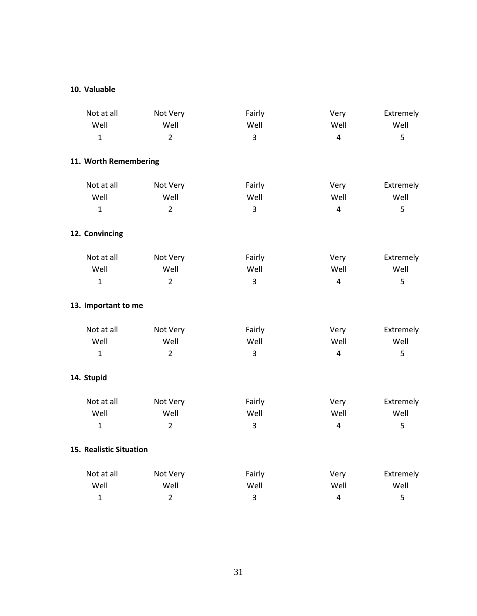#### **10. Valuable**

| Not at all              | Not Very       | Fairly         | Very           | Extremely |
|-------------------------|----------------|----------------|----------------|-----------|
| Well                    | Well           | Well           | Well           | Well      |
| $\mathbf{1}$            | $\overline{2}$ | 3              | $\overline{4}$ | 5         |
| 11. Worth Remembering   |                |                |                |           |
| Not at all              | Not Very       | Fairly         | Very           | Extremely |
| Well                    | Well           | Well           | Well           | Well      |
| $\mathbf{1}$            | $\overline{2}$ | $\overline{3}$ | $\overline{4}$ | 5         |
| 12. Convincing          |                |                |                |           |
| Not at all              | Not Very       | Fairly         | Very           | Extremely |
| Well                    | Well           | Well           | Well           | Well      |
| $\mathbf{1}$            | $\overline{2}$ | $\overline{3}$ | $\overline{4}$ | 5         |
| 13. Important to me     |                |                |                |           |
| Not at all              | Not Very       | Fairly         | Very           | Extremely |
| Well                    | Well           | Well           | Well           | Well      |
| $\mathbf{1}$            | $\overline{2}$ | 3              | $\overline{4}$ | 5         |
| 14. Stupid              |                |                |                |           |
| Not at all              | Not Very       | Fairly         | Very           | Extremely |
| Well                    | Well           | Well           | Well           | Well      |
| $\mathbf{1}$            | $\overline{2}$ | 3              | $\overline{4}$ | 5         |
| 15. Realistic Situation |                |                |                |           |
| Not at all              | Not Very       | Fairly         | Very           | Extremely |
| Well                    | Well           | Well           | Well           | Well      |
| $\mathbf{1}$            | $\overline{2}$ | 3              | $\sqrt{4}$     | 5         |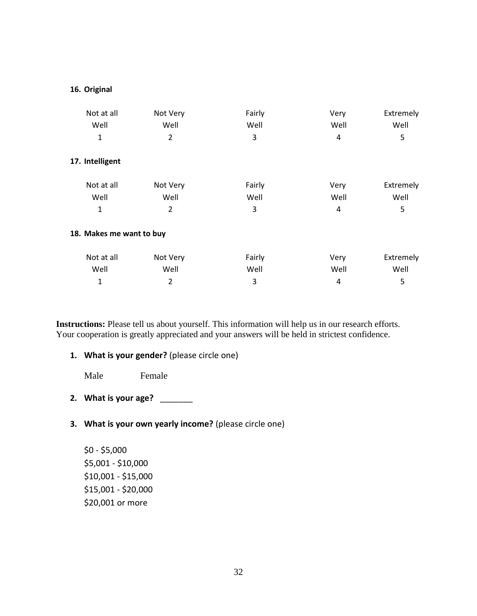#### **16. Original**

| Not at all               | Not Very | Fairly | Very | Extremely |
|--------------------------|----------|--------|------|-----------|
| Well                     | Well     | Well   | Well | Well      |
| 1                        | 2        | 3      | 4    | 5         |
| 17. Intelligent          |          |        |      |           |
| Not at all               | Not Very | Fairly | Very | Extremely |
| Well                     | Well     | Well   | Well | Well      |
| 1                        | 2        | 3      | 4    | 5         |
| 18. Makes me want to buy |          |        |      |           |
| Not at all               | Not Very | Fairly | Very | Extremely |
| Well                     | Well     | Well   | Well | Well      |
| 1                        | 2        | 3      | 4    | 5         |

**Instructions:** Please tell us about yourself. This information will help us in our research efforts. Your cooperation is greatly appreciated and your answers will be held in strictest confidence.

**1. What is your gender?** (please circle one)

Male Female

- **2. What is your age?** \_\_\_\_\_\_\_
- **3. What is your own yearly income?** (please circle one)

\$0 - \$5,000 \$5,001 - \$10,000 \$10,001 - \$15,000 \$15,001 - \$20,000 \$20,001 or more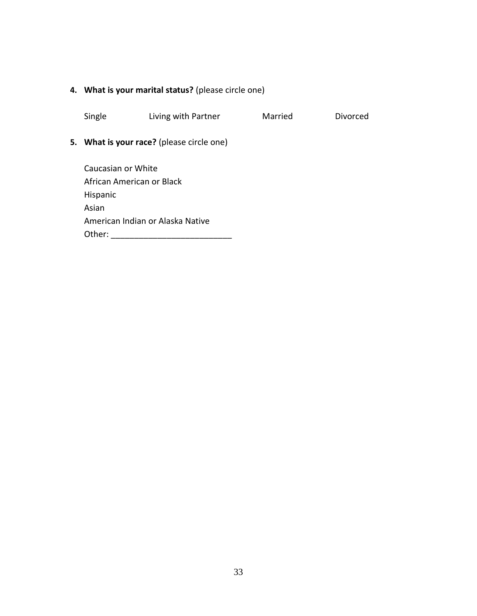## **4. What is your marital status?** (please circle one)

Single Living with Partner Married Divorced

## **5. What is your race?** (please circle one)

Caucasian or White African American or Black Hispanic Asian American Indian or Alaska Native Other: \_\_\_\_\_\_\_\_\_\_\_\_\_\_\_\_\_\_\_\_\_\_\_\_\_\_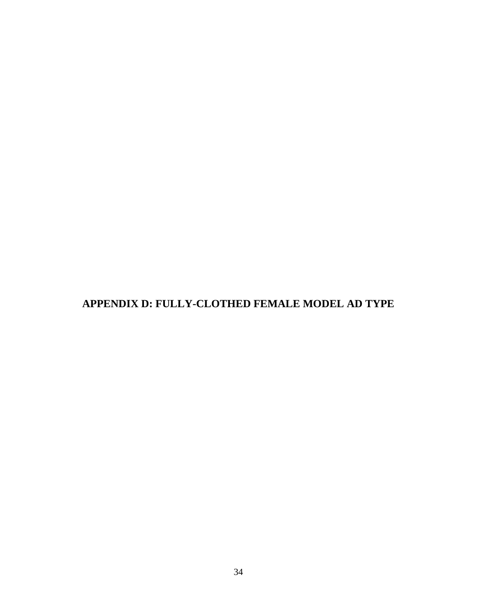<span id="page-42-0"></span>**APPENDIX D: FULLY-CLOTHED FEMALE MODEL AD TYPE**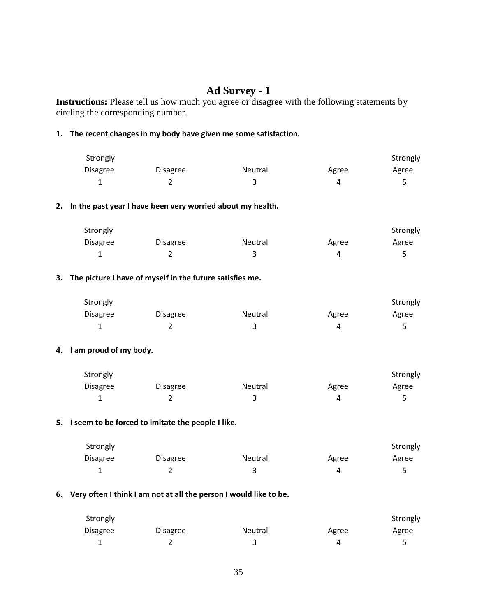## **Ad Survey - 1**

**Instructions:** Please tell us how much you agree or disagree with the following statements by circling the corresponding number.

#### **1. The recent changes in my body have given me some satisfaction.**

| Strongly        |                 |         |       | Strongly |
|-----------------|-----------------|---------|-------|----------|
| <b>Disagree</b> | <b>Disagree</b> | Neutral | Agree | Agree    |
|                 |                 |         |       |          |

#### **2. In the past year I have been very worried about my health.**

| Strongly        |                 |         |       | Strongly |
|-----------------|-----------------|---------|-------|----------|
| <b>Disagree</b> | <b>Disagree</b> | Neutral | Agree | Agree    |
|                 |                 |         | Д     |          |

#### **3. The picture I have of myself in the future satisfies me.**

| Strongly        |                 |         |       | Strongly |
|-----------------|-----------------|---------|-------|----------|
| <b>Disagree</b> | <b>Disagree</b> | Neutral | Agree | Agree    |
|                 |                 |         |       |          |

#### **4. I am proud of my body.**

| Strongly        |                 |                |       | Strongly |
|-----------------|-----------------|----------------|-------|----------|
| <b>Disagree</b> | <b>Disagree</b> | <b>Neutral</b> | Agree | Agree    |
|                 |                 |                |       |          |

#### **5. I seem to be forced to imitate the people I like.**

| Strongly        |          |         |       | Strongly |
|-----------------|----------|---------|-------|----------|
| <b>Disagree</b> | Disagree | Neutral | Agree | Agree    |
|                 |          |         | Д     |          |

#### **6. Very often I think I am not at all the person I would like to be.**

| Strongly        |          |         |       | Strongly |
|-----------------|----------|---------|-------|----------|
| <b>Disagree</b> | Disagree | Neutral | Agree | Agree    |
| ∸               |          |         |       |          |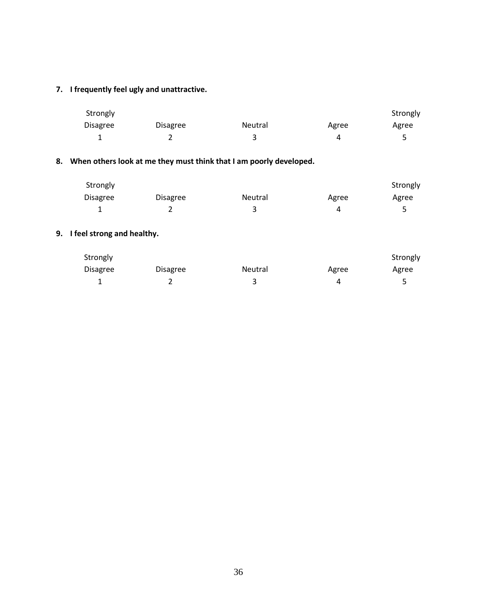## **7. I frequently feel ugly and unattractive.**

| Strongly        |          |         |       | Strongly |
|-----------------|----------|---------|-------|----------|
| <b>Disagree</b> | Disagree | Neutral | Agree | Agree    |
| -               |          |         |       |          |

## **8. When others look at me they must think that I am poorly developed.**

| Strongly        |                 |                |       | Strongly |
|-----------------|-----------------|----------------|-------|----------|
| <b>Disagree</b> | <b>Disagree</b> | <b>Neutral</b> | Agree | Agree    |
|                 |                 |                | Д     |          |

## **9. I feel strong and healthy.**

| Strongly        |                 |         |       | Strongly |
|-----------------|-----------------|---------|-------|----------|
| <b>Disagree</b> | <b>Disagree</b> | Neutral | Agree | Agree    |
|                 | -               |         | 4     |          |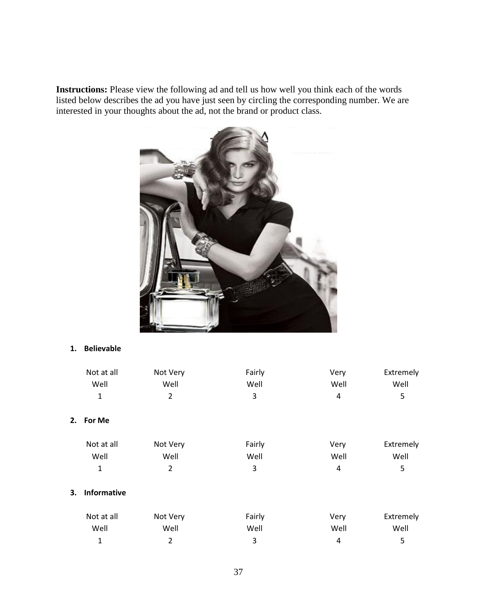**Instructions:** Please view the following ad and tell us how well you think each of the words listed below describes the ad you have just seen by circling the corresponding number. We are interested in your thoughts about the ad, not the brand or product class.



#### **1. Believable**

|    | Not at all         | Not Very       | Fairly | Very | Extremely |
|----|--------------------|----------------|--------|------|-----------|
|    | Well               | Well           | Well   | Well | Well      |
|    | 1                  | $\overline{2}$ | 3      | 4    | 5         |
| 2. | For Me             |                |        |      |           |
|    | Not at all         | Not Very       | Fairly | Very | Extremely |
|    | Well               | Well           | Well   | Well | Well      |
|    | $\mathbf 1$        | $\overline{2}$ | 3      | 4    | 5         |
| 3. | <b>Informative</b> |                |        |      |           |
|    | Not at all         | Not Very       | Fairly | Very | Extremely |
|    | Well               | Well           | Well   | Well | Well      |
|    | 1                  | 2              | 3      | 4    | 5         |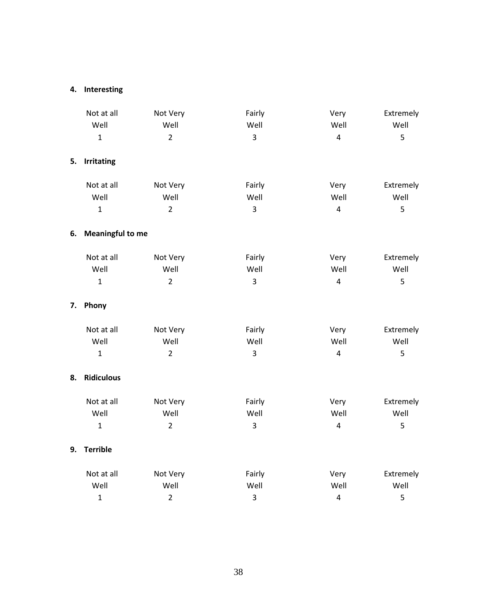## **4. Interesting**

|    | Not at all              | Not Very       | Fairly         | Very                    | Extremely |
|----|-------------------------|----------------|----------------|-------------------------|-----------|
|    | Well                    | Well           | Well           | Well                    | Well      |
|    | $\mathbf{1}$            | $\overline{2}$ | 3              | $\overline{4}$          | 5         |
| 5. | <b>Irritating</b>       |                |                |                         |           |
|    | Not at all              | Not Very       | Fairly         | Very                    | Extremely |
|    | Well                    | Well           | Well           | Well                    | Well      |
|    | $\mathbf{1}$            | $\overline{2}$ | $\overline{3}$ | $\overline{4}$          | 5         |
| 6. | <b>Meaningful to me</b> |                |                |                         |           |
|    | Not at all              | Not Very       | Fairly         | Very                    | Extremely |
|    | Well                    | Well           | Well           | Well                    | Well      |
|    | $\mathbf{1}$            | $\overline{2}$ | $\overline{3}$ | $\overline{4}$          | 5         |
| 7. | Phony                   |                |                |                         |           |
|    | Not at all              | Not Very       | Fairly         | Very                    | Extremely |
|    | Well                    | Well           | Well           | Well                    | Well      |
|    | $\mathbf{1}$            | $\overline{2}$ | 3              | $\overline{4}$          | 5         |
| 8. | <b>Ridiculous</b>       |                |                |                         |           |
|    | Not at all              | Not Very       | Fairly         | Very                    | Extremely |
|    | Well                    | Well           | Well           | Well                    | Well      |
|    | $\mathbf{1}$            | $\overline{2}$ | $\overline{3}$ | $\overline{4}$          | 5         |
| 9. | <b>Terrible</b>         |                |                |                         |           |
|    | Not at all              | Not Very       | Fairly         | Very                    | Extremely |
|    | Well                    | Well           | Well           | Well                    | Well      |
|    | $\mathbf{1}$            | $\overline{2}$ | $\mathbf{3}$   | $\overline{\mathbf{4}}$ | 5         |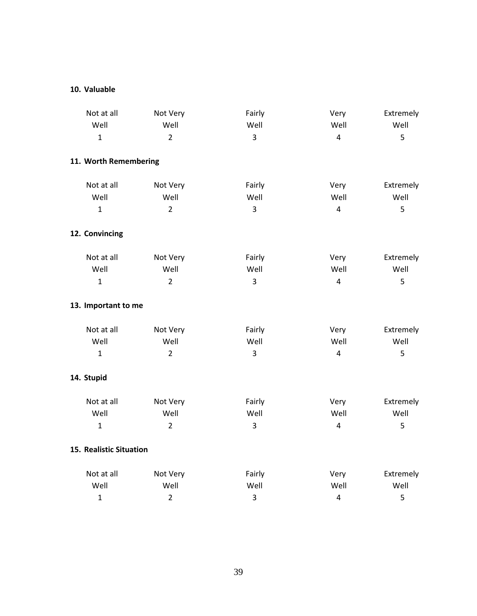#### **10. Valuable**

| Not at all              | Not Very       | Fairly         | Very           | Extremely |
|-------------------------|----------------|----------------|----------------|-----------|
| Well                    | Well           | Well           | Well           | Well      |
| $\mathbf{1}$            | $\overline{2}$ | 3              | $\overline{4}$ | 5         |
| 11. Worth Remembering   |                |                |                |           |
| Not at all              | Not Very       | Fairly         | Very           | Extremely |
| Well                    | Well           | Well           | Well           | Well      |
| $\mathbf{1}$            | $\overline{2}$ | $\overline{3}$ | $\overline{4}$ | 5         |
| 12. Convincing          |                |                |                |           |
| Not at all              | Not Very       | Fairly         | Very           | Extremely |
| Well                    | Well           | Well           | Well           | Well      |
| $\mathbf{1}$            | $\overline{2}$ | $\overline{3}$ | $\overline{4}$ | 5         |
| 13. Important to me     |                |                |                |           |
| Not at all              | Not Very       | Fairly         | Very           | Extremely |
| Well                    | Well           | Well           | Well           | Well      |
| $\mathbf{1}$            | $\overline{2}$ | 3              | $\overline{4}$ | 5         |
| 14. Stupid              |                |                |                |           |
| Not at all              | Not Very       | Fairly         | Very           | Extremely |
| Well                    | Well           | Well           | Well           | Well      |
| $\mathbf{1}$            | $\overline{2}$ | 3              | $\overline{4}$ | 5         |
| 15. Realistic Situation |                |                |                |           |
| Not at all              | Not Very       | Fairly         | Very           | Extremely |
| Well                    | Well           | Well           | Well           | Well      |
| $\mathbf{1}$            | $\overline{2}$ | 3              | $\pmb{4}$      | 5         |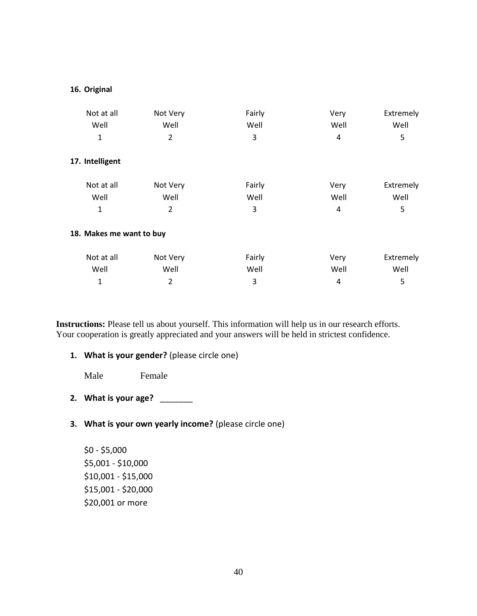#### **16. Original**

| Not at all               | Not Very | Fairly | Very | Extremely |
|--------------------------|----------|--------|------|-----------|
| Well                     | Well     | Well   | Well | Well      |
| 1                        | 2        | 3      | 4    | 5         |
| 17. Intelligent          |          |        |      |           |
| Not at all               | Not Very | Fairly | Very | Extremely |
| Well                     | Well     | Well   | Well | Well      |
| 1                        | 2        | 3      | 4    | 5         |
| 18. Makes me want to buy |          |        |      |           |
| Not at all               | Not Very | Fairly | Very | Extremely |
| Well                     | Well     | Well   | Well | Well      |
| 1                        | 2        | 3      | 4    | 5         |

**Instructions:** Please tell us about yourself. This information will help us in our research efforts. Your cooperation is greatly appreciated and your answers will be held in strictest confidence.

**1. What is your gender?** (please circle one)

Male Female

- **2. What is your age?** \_\_\_\_\_\_\_
- **3. What is your own yearly income?** (please circle one)

\$0 - \$5,000 \$5,001 - \$10,000 \$10,001 - \$15,000 \$15,001 - \$20,000 \$20,001 or more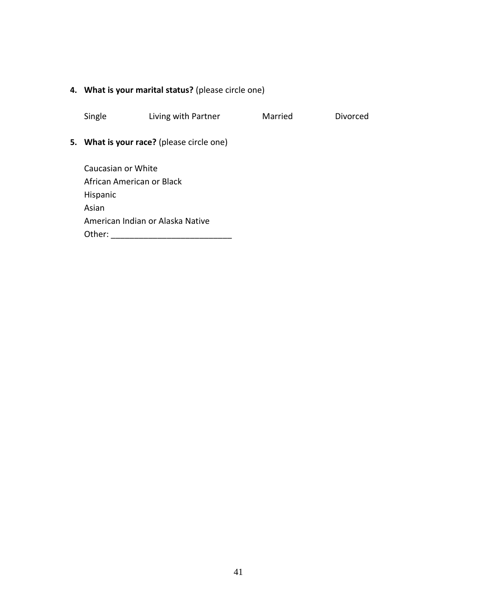## **4. What is your marital status?** (please circle one)

Single Living with Partner Married Divorced

## **5. What is your race?** (please circle one)

Caucasian or White African American or Black Hispanic Asian American Indian or Alaska Native Other: \_\_\_\_\_\_\_\_\_\_\_\_\_\_\_\_\_\_\_\_\_\_\_\_\_\_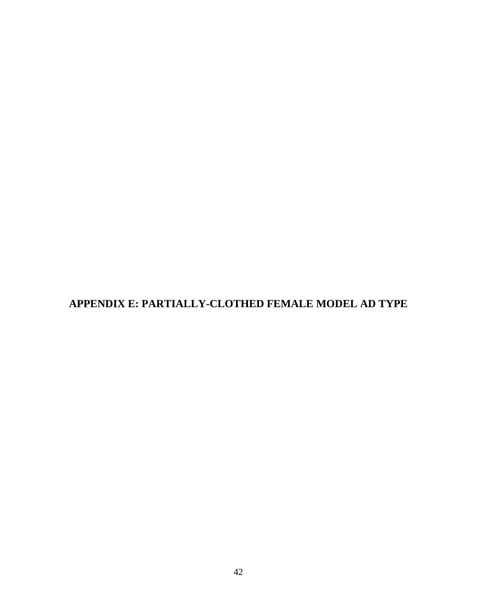<span id="page-50-0"></span>**APPENDIX E: PARTIALLY-CLOTHED FEMALE MODEL AD TYPE**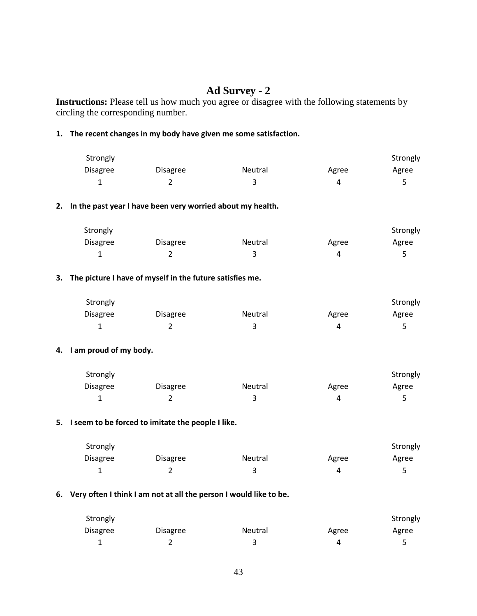## **Ad Survey - 2**

**Instructions:** Please tell us how much you agree or disagree with the following statements by circling the corresponding number.

#### **1. The recent changes in my body have given me some satisfaction.**

| Strongly        |          |         |       | Strongly |
|-----------------|----------|---------|-------|----------|
| <b>Disagree</b> | Disagree | Neutral | Agree | Agree    |
|                 |          |         |       |          |

#### **2. In the past year I have been very worried about my health.**

| Strongly        |          |         |       | Strongly |
|-----------------|----------|---------|-------|----------|
| <b>Disagree</b> | Disagree | Neutral | Agree | Agree    |
|                 |          |         | Д     |          |

#### **3. The picture I have of myself in the future satisfies me.**

| Strongly        |                 |         |       | Strongly |
|-----------------|-----------------|---------|-------|----------|
| <b>Disagree</b> | <b>Disagree</b> | Neutral | Agree | Agree    |
| ÷               |                 |         |       |          |

#### **4. I am proud of my body.**

| Strongly        |                 |                |       | Strongly |
|-----------------|-----------------|----------------|-------|----------|
| <b>Disagree</b> | <b>Disagree</b> | <b>Neutral</b> | Agree | Agree    |
|                 |                 |                | Δ     |          |

#### **5. I seem to be forced to imitate the people I like.**

| Strongly        |          |         |       | Strongly |
|-----------------|----------|---------|-------|----------|
| <b>Disagree</b> | Disagree | Neutral | Agree | Agree    |
|                 | -        |         | Д     |          |

#### **6. Very often I think I am not at all the person I would like to be.**

| Strongly        |                 |                |       | Strongly |
|-----------------|-----------------|----------------|-------|----------|
| <b>Disagree</b> | <b>Disagree</b> | <b>Neutral</b> | Agree | Agree    |
| ∸               |                 |                |       |          |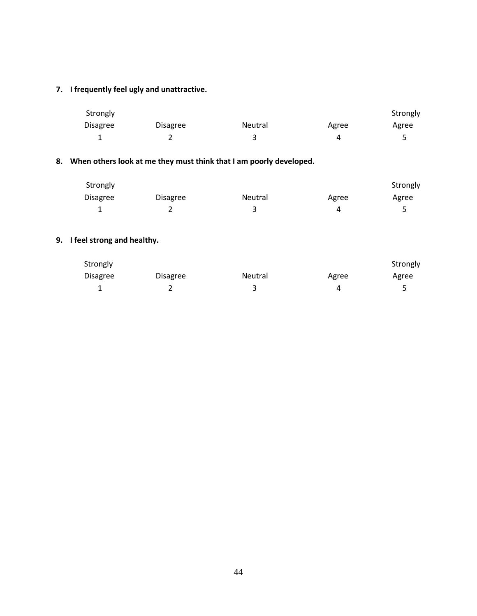## **7. I frequently feel ugly and unattractive.**

| Strongly        |          |         |       | Strongly |
|-----------------|----------|---------|-------|----------|
| <b>Disagree</b> | Disagree | Neutral | Agree | Agree    |
| -               |          |         |       |          |

## **8. When others look at me they must think that I am poorly developed.**

| Strongly        |          |         |       | Strongly |
|-----------------|----------|---------|-------|----------|
| <b>Disagree</b> | Disagree | Neutral | Agree | Agree    |
|                 | L        |         | 4     |          |

## **9. I feel strong and healthy.**

| Strongly        |          |                |       | Strongly |
|-----------------|----------|----------------|-------|----------|
| <b>Disagree</b> | Disagree | <b>Neutral</b> | Agree | Agree    |
|                 |          |                |       |          |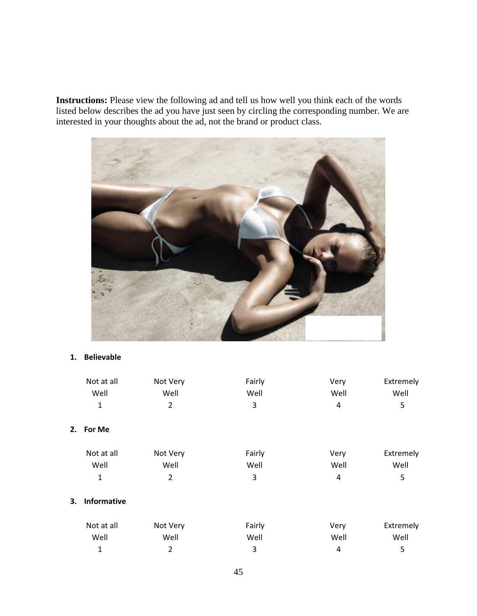**Instructions:** Please view the following ad and tell us how well you think each of the words listed below describes the ad you have just seen by circling the corresponding number. We are interested in your thoughts about the ad, not the brand or product class.



#### **1. Believable**

|    | Not at all         | Not Very       | Fairly | Very | Extremely |
|----|--------------------|----------------|--------|------|-----------|
|    | Well               | Well           | Well   | Well | Well      |
|    | $\mathbf{1}$       | $\overline{2}$ | 3      | 4    | 5         |
| 2. | For Me             |                |        |      |           |
|    | Not at all         | Not Very       | Fairly | Very | Extremely |
|    | Well               | Well           | Well   | Well | Well      |
|    | 1                  | $\overline{2}$ | 3      | 4    | 5         |
| 3. | <b>Informative</b> |                |        |      |           |
|    | Not at all         | Not Very       | Fairly | Very | Extremely |
|    | Well               | Well           | Well   | Well | Well      |
|    | 1                  | $\overline{2}$ | 3      | 4    | 5         |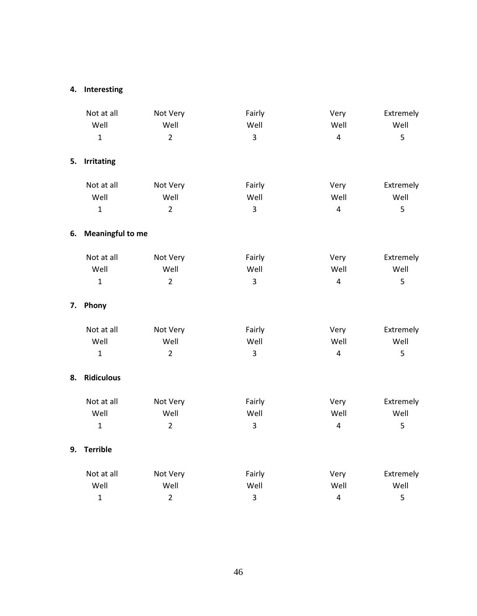## **4. Interesting**

|    | Not at all              | Not Very       | Fairly         | Very                    | Extremely |
|----|-------------------------|----------------|----------------|-------------------------|-----------|
|    | Well                    | Well           | Well           | Well                    | Well      |
|    | $\mathbf{1}$            | $\overline{2}$ | 3              | $\overline{4}$          | 5         |
| 5. | <b>Irritating</b>       |                |                |                         |           |
|    | Not at all              | Not Very       | Fairly         | Very                    | Extremely |
|    | Well                    | Well           | Well           | Well                    | Well      |
|    | $\mathbf{1}$            | $\overline{2}$ | 3              | $\overline{4}$          | 5         |
| 6. | <b>Meaningful to me</b> |                |                |                         |           |
|    | Not at all              | Not Very       | Fairly         | Very                    | Extremely |
|    | Well                    | Well           | Well           | Well                    | Well      |
|    | $\mathbf{1}$            | $\overline{2}$ | $\overline{3}$ | $\overline{4}$          | 5         |
| 7. | Phony                   |                |                |                         |           |
|    | Not at all              | Not Very       | Fairly         | Very                    | Extremely |
|    | Well                    | Well           | Well           | Well                    | Well      |
|    | $\mathbf{1}$            | $\overline{2}$ | 3              | $\overline{4}$          | 5         |
| 8. | <b>Ridiculous</b>       |                |                |                         |           |
|    | Not at all              | Not Very       | Fairly         | Very                    | Extremely |
|    | Well                    | Well           | Well           | Well                    | Well      |
|    | $\mathbf{1}$            | $\overline{2}$ | 3              | $\overline{4}$          | 5         |
| 9. | <b>Terrible</b>         |                |                |                         |           |
|    | Not at all              | Not Very       | Fairly         | Very                    | Extremely |
|    | Well                    | Well           | Well           | Well                    | Well      |
|    | $\mathbf{1}$            | $\overline{2}$ | 3              | $\overline{\mathbf{4}}$ | 5         |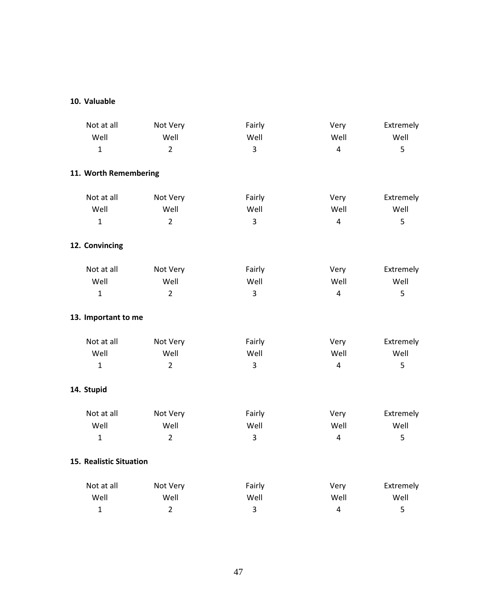## **10. Valuable**

| Not at all              | Not Very       | Fairly         | Very           | Extremely |
|-------------------------|----------------|----------------|----------------|-----------|
| Well                    | Well           | Well           | Well           | Well      |
| $\mathbf{1}$            | $\overline{2}$ | $\overline{3}$ | $\overline{4}$ | 5         |
| 11. Worth Remembering   |                |                |                |           |
| Not at all              | Not Very       | Fairly         | Very           | Extremely |
| Well                    | Well           | Well           | Well           | Well      |
| $\mathbf{1}$            | $\overline{2}$ | 3              | $\overline{4}$ | 5         |
| 12. Convincing          |                |                |                |           |
| Not at all              | Not Very       | Fairly         | Very           | Extremely |
| Well                    | Well           | Well           | Well           | Well      |
| $\mathbf{1}$            | $\overline{2}$ | 3              | $\overline{4}$ | 5         |
| 13. Important to me     |                |                |                |           |
| Not at all              | Not Very       | Fairly         | Very           | Extremely |
| Well                    | Well           | Well           | Well           | Well      |
| $\mathbf{1}$            | $\overline{2}$ | 3              | $\overline{4}$ | 5         |
| 14. Stupid              |                |                |                |           |
| Not at all              | Not Very       | Fairly         | Very           | Extremely |
| Well                    | Well           | Well           | Well           | Well      |
| $\mathbf{1}$            | $\overline{2}$ | 3              | $\overline{4}$ | 5         |
| 15. Realistic Situation |                |                |                |           |
| Not at all              | Not Very       | Fairly         | Very           | Extremely |
| Well                    | Well           | Well           | Well           | Well      |
| $\mathbf{1}$            | $\overline{2}$ | 3              | $\overline{4}$ | 5         |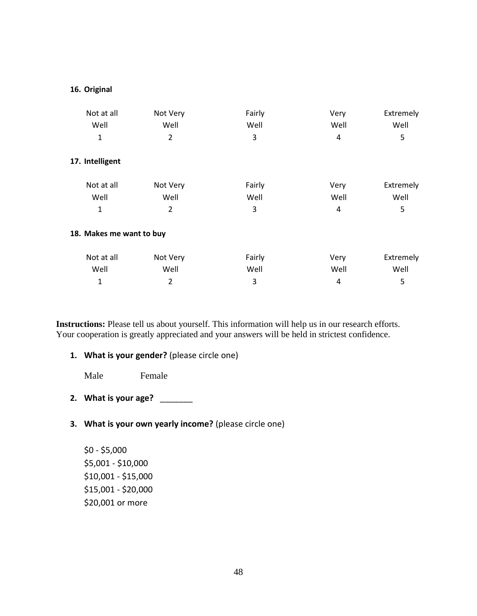#### **16. Original**

| Not at all               | Not Very | Fairly | Very | Extremely |
|--------------------------|----------|--------|------|-----------|
| Well                     | Well     | Well   | Well | Well      |
| 1                        | 2        | 3      | 4    | 5         |
| 17. Intelligent          |          |        |      |           |
| Not at all               | Not Very | Fairly | Very | Extremely |
| Well                     | Well     | Well   | Well | Well      |
| 1                        | 2        | 3      | 4    | 5         |
| 18. Makes me want to buy |          |        |      |           |
| Not at all               | Not Very | Fairly | Very | Extremely |
| Well                     | Well     | Well   | Well | Well      |
| 1                        | 2        | 3      | 4    | 5         |

**Instructions:** Please tell us about yourself. This information will help us in our research efforts. Your cooperation is greatly appreciated and your answers will be held in strictest confidence.

**1. What is your gender?** (please circle one)

Male Female

- **2. What is your age?** \_\_\_\_\_\_\_
- **3. What is your own yearly income?** (please circle one)

\$0 - \$5,000 \$5,001 - \$10,000 \$10,001 - \$15,000 \$15,001 - \$20,000 \$20,001 or more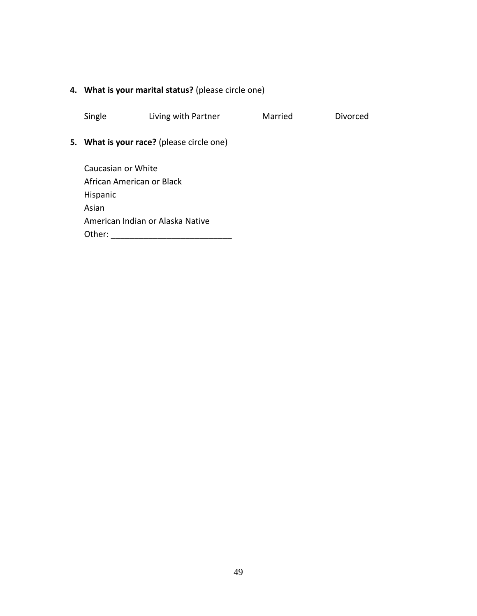## **4. What is your marital status?** (please circle one)

Single Living with Partner Married Divorced

## **5. What is your race?** (please circle one)

Caucasian or White African American or Black Hispanic Asian American Indian or Alaska Native Other: \_\_\_\_\_\_\_\_\_\_\_\_\_\_\_\_\_\_\_\_\_\_\_\_\_\_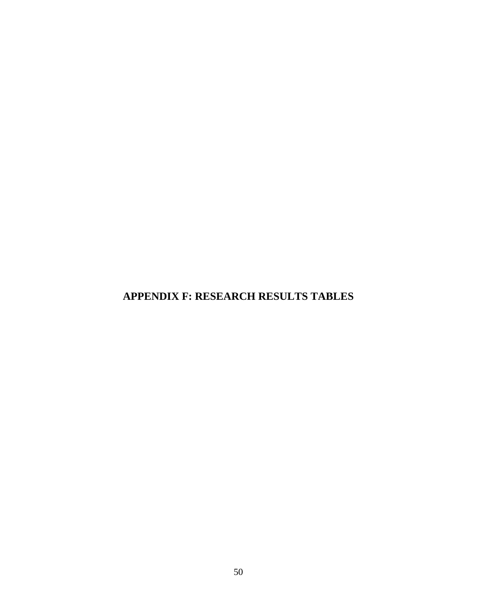<span id="page-58-0"></span>**APPENDIX F: RESEARCH RESULTS TABLES**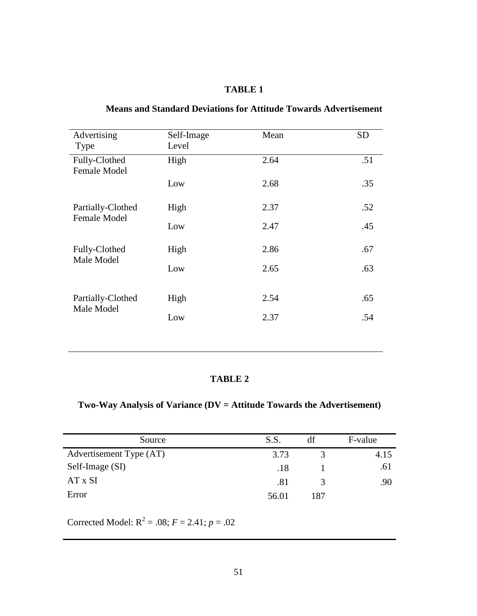| Advertising                              | Self-Image | Mean | <b>SD</b> |
|------------------------------------------|------------|------|-----------|
| Type                                     | Level      |      |           |
|                                          |            |      |           |
| Fully-Clothed                            | High       | 2.64 | .51       |
| <b>Female Model</b>                      |            |      |           |
|                                          | Low        | 2.68 | .35       |
|                                          |            |      |           |
|                                          |            |      |           |
| Partially-Clothed<br><b>Female Model</b> | High       | 2.37 | .52       |
|                                          | Low        | 2.47 | .45       |
|                                          |            |      |           |
|                                          |            |      |           |
| Fully-Clothed                            | High       | 2.86 | .67       |
| Male Model                               | Low        | 2.65 | .63       |
|                                          |            |      |           |
|                                          |            |      |           |
| Partially-Clothed                        | High       | 2.54 | .65       |
| Male Model                               |            |      |           |
|                                          | Low        | 2.37 | .54       |
|                                          |            |      |           |

## **Means and Standard Deviations for Attitude Towards Advertisement**

#### **TABLE 2**

## **Two-Way Analysis of Variance (DV = Attitude Towards the Advertisement)**

| Source                  | S.S.  | df  | F-value |
|-------------------------|-------|-----|---------|
| Advertisement Type (AT) | 3.73  |     | 4.15    |
| Self-Image (SI)         | .18   |     | .61     |
| AT x SI                 | .81   |     | .90     |
| Error                   | 56.01 | 187 |         |

Corrected Model:  $R^2 = .08$ ;  $F = 2.41$ ;  $p = .02$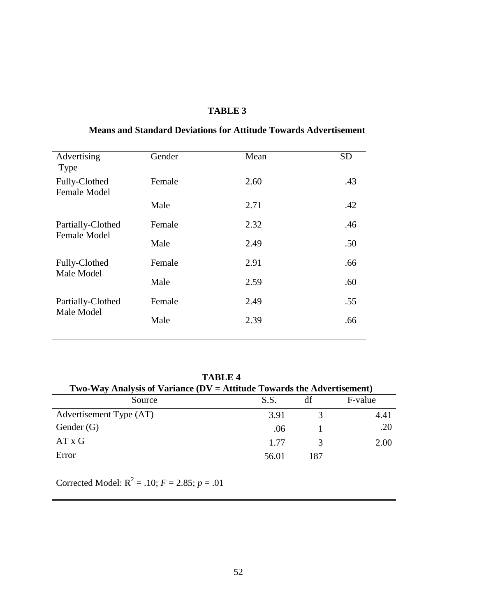| Advertising                          | Gender | Mean | <b>SD</b> |
|--------------------------------------|--------|------|-----------|
| Type                                 |        |      |           |
| Fully-Clothed<br><b>Female Model</b> | Female | 2.60 | .43       |
|                                      |        |      |           |
|                                      | Male   | 2.71 | .42       |
| Partially-Clothed                    | Female | 2.32 | .46       |
| <b>Female Model</b>                  |        |      |           |
|                                      | Male   | 2.49 | .50       |
| Fully-Clothed                        | Female | 2.91 | .66       |
| Male Model                           |        |      |           |
|                                      | Male   | 2.59 | .60       |
| Partially-Clothed                    | Female | 2.49 | .55       |
|                                      |        |      |           |
| Male Model                           | Male   | 2.39 | .66       |
|                                      |        |      |           |

## **Means and Standard Deviations for Attitude Towards Advertisement**

**TABLE 4**

| Two-Way Analysis of Variance ( $DV =$ Attitude Towards the Advertisement) |       |     |         |  |
|---------------------------------------------------------------------------|-------|-----|---------|--|
| Source                                                                    | S.S.  | df  | F-value |  |
| Advertisement Type (AT)                                                   | 3.91  |     | 4.41    |  |
| Gender $(G)$                                                              | .06   |     | .20     |  |
| $AT \times G$                                                             | 1.77  |     | 2.00    |  |
| Error                                                                     | 56.01 | 187 |         |  |

Corrected Model:  $R^2 = .10$ ;  $F = 2.85$ ;  $p = .01$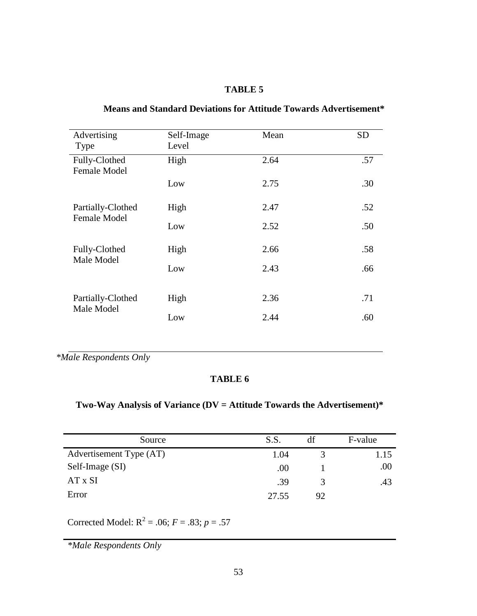|                                          |            |      | <b>SD</b> |
|------------------------------------------|------------|------|-----------|
| Advertising                              | Self-Image | Mean |           |
| Type                                     | Level      |      |           |
| Fully-Clothed                            | High       | 2.64 | .57       |
| <b>Female Model</b>                      |            |      |           |
|                                          | Low        | 2.75 | .30       |
|                                          |            |      |           |
|                                          |            |      |           |
| Partially-Clothed<br><b>Female Model</b> | High       | 2.47 | .52       |
|                                          | Low        | 2.52 | .50       |
|                                          |            |      |           |
| Fully-Clothed<br>Male Model              |            |      |           |
|                                          | High       | 2.66 | .58       |
|                                          | Low        | 2.43 | .66       |
|                                          |            |      |           |
|                                          |            |      |           |
| Partially-Clothed<br>Male Model          | High       | 2.36 | .71       |
|                                          |            |      |           |
|                                          | Low        | 2.44 | .60       |
|                                          |            |      |           |

## **Means and Standard Deviations for Attitude Towards Advertisement\***

*\*Male Respondents Only*

#### **TABLE 6**

## **Two-Way Analysis of Variance (DV = Attitude Towards the Advertisement)\***

| Source                  | S.S.  | df | F-value |
|-------------------------|-------|----|---------|
| Advertisement Type (AT) | 1.04  |    | 1.15    |
| Self-Image (SI)         | .00.  |    | .00     |
| AT x SI                 | .39   |    | .43     |
| Error                   | 27.55 | 92 |         |

Corrected Model:  $R^2 = .06$ ;  $F = .83$ ;  $p = .57$ 

*\*Male Respondents Only*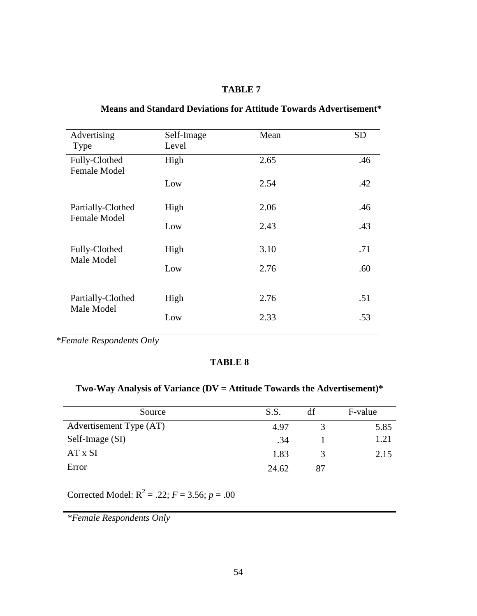| .46 |
|-----|
|     |
| .42 |
| .46 |
| .43 |
| .71 |
| .60 |
| .51 |
| .53 |
|     |

## **Means and Standard Deviations for Attitude Towards Advertisement\***

*\*Female Respondents Only*

## **TABLE 8**

## **Two-Way Analysis of Variance (DV = Attitude Towards the Advertisement)\***

| Source                  | S.S.  | df | F-value |
|-------------------------|-------|----|---------|
| Advertisement Type (AT) | 4.97  |    | 5.85    |
| Self-Image (SI)         | .34   |    | 1.21    |
| AT x SI                 | 1.83  | 3  | 2.15    |
| Error                   | 24.62 | 87 |         |

Corrected Model:  $R^2 = .22$ ;  $F = 3.56$ ;  $p = .00$ 

*\*Female Respondents Only*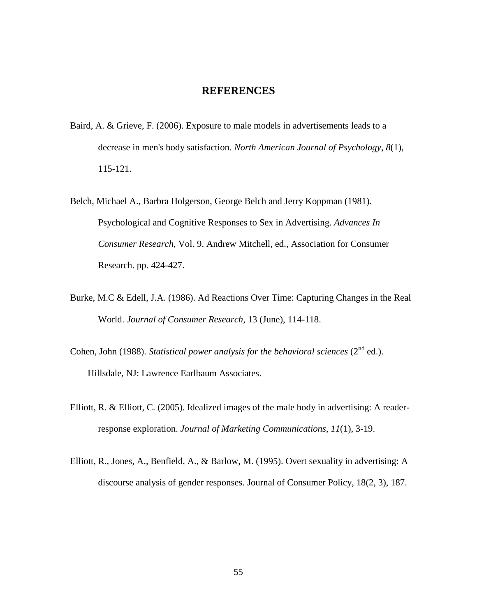## **REFERENCES**

- <span id="page-63-0"></span>Baird, A. & Grieve, F. (2006). Exposure to male models in advertisements leads to a decrease in men's body satisfaction. *North American Journal of Psychology*, *8*(1), 115-121.
- Belch, Michael A., Barbra Holgerson, George Belch and Jerry Koppman (1981). Psychological and Cognitive Responses to Sex in Advertising. *Advances In Consumer Research*, Vol. 9. Andrew Mitchell, ed., Association for Consumer Research. pp. 424-427.
- Burke, M.C & Edell, J.A. (1986). Ad Reactions Over Time: Capturing Changes in the Real World. *Journal of Consumer Research*, 13 (June), 114-118.
- Cohen, John (1988). *Statistical power analysis for the behavioral sciences* ( $2<sup>nd</sup>$  ed.). Hillsdale, NJ: Lawrence Earlbaum Associates.
- Elliott, R. & Elliott, C. (2005). Idealized images of the male body in advertising: A readerresponse exploration. *Journal of Marketing Communications*, *11*(1), 3-19.
- Elliott, R., Jones, A., Benfield, A., & Barlow, M. (1995). Overt sexuality in advertising: A discourse analysis of gender responses. Journal of Consumer Policy, 18(2, 3), 187.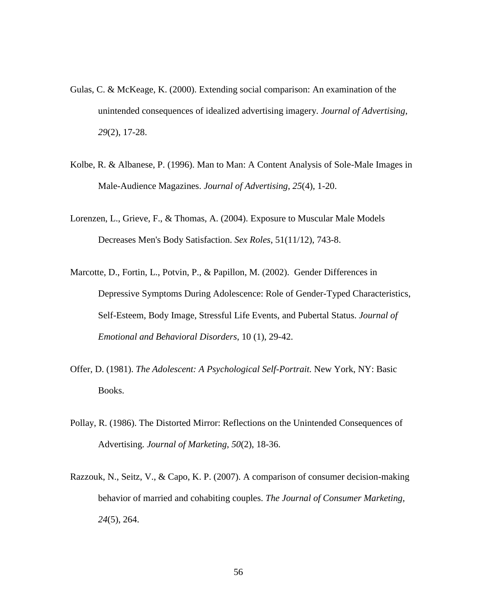- Gulas, C. & McKeage, K. (2000). Extending social comparison: An examination of the unintended consequences of idealized advertising imagery. *Journal of Advertising*, *29*(2), 17-28.
- Kolbe, R. & Albanese, P. (1996). Man to Man: A Content Analysis of Sole-Male Images in Male-Audience Magazines. *Journal of Advertising*, *25*(4), 1-20.
- Lorenzen, L., Grieve, F., & Thomas, A. (2004). Exposure to Muscular Male Models Decreases Men's Body Satisfaction. *Sex Roles*, 51(11/12), 743-8.
- Marcotte, D., Fortin, L., Potvin, P., & Papillon, M. (2002). Gender Differences in Depressive Symptoms During Adolescence: Role of Gender-Typed Characteristics, Self-Esteem, Body Image, Stressful Life Events, and Pubertal Status. *Journal of Emotional and Behavioral Disorders*, 10 (1), 29-42.
- Offer, D. (1981). *The Adolescent: A Psychological Self-Portrait.* New York, NY: Basic Books.
- Pollay, R. (1986). The Distorted Mirror: Reflections on the Unintended Consequences of Advertising. *Journal of Marketing*, *50*(2), 18-36.
- Razzouk, N., Seitz, V., & Capo, K. P. (2007). A comparison of consumer decision-making behavior of married and cohabiting couples. *The Journal of Consumer Marketing, 24*(5), 264.